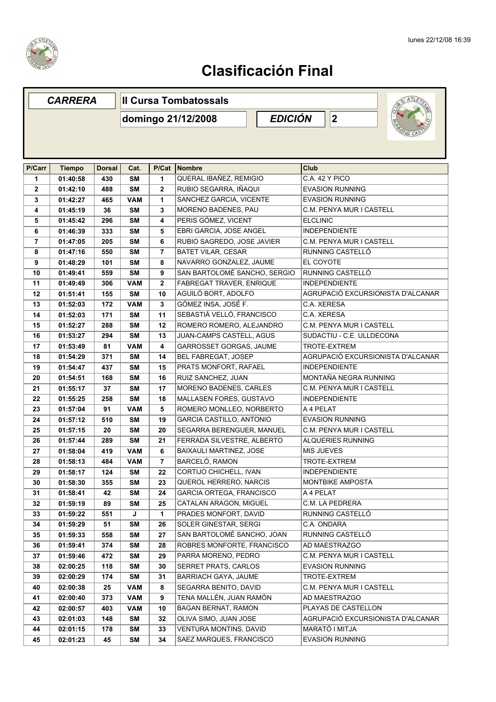

|                | <b>CARRERA</b> |               | <b>Il Cursa Tombatossals</b> |                         |                                 |                |                   |                           |                                   |
|----------------|----------------|---------------|------------------------------|-------------------------|---------------------------------|----------------|-------------------|---------------------------|-----------------------------------|
|                |                |               |                              |                         | domingo 21/12/2008              | <b>EDICIÓN</b> |                   | $ 2\rangle$               |                                   |
|                |                |               |                              |                         |                                 |                |                   |                           |                                   |
|                |                |               |                              |                         |                                 |                |                   |                           |                                   |
| P/Carr         | <b>Tiempo</b>  | <b>Dorsal</b> | Cat.                         | P/Cat                   | Nombre                          |                | Club              |                           |                                   |
| 1              | 01:40:58       | 430           | <b>SM</b>                    | 1                       | QUERAL IBAÑEZ, REMIGIO          |                |                   | C.A. 42 Y PICO            |                                   |
| $\mathbf{2}$   | 01:42:10       | 488           | <b>SM</b>                    | $\mathbf{2}$            | RUBIO SEGARRA, IÑAQUI           |                |                   | <b>EVASION RUNNING</b>    |                                   |
| 3              | 01:42:27       | 465           | <b>VAM</b>                   | 1                       | SANCHEZ GARCIA, VICENTE         |                |                   | <b>EVASION RUNNING</b>    |                                   |
| 4              | 01:45:19       | 36            | <b>SM</b>                    | 3                       | MORENO BADENES, PAU             |                |                   | C.M. PENYA MUR I CASTELL  |                                   |
| 5              | 01:45:42       | 296           | <b>SM</b>                    | 4                       | PERIS GÓMEZ, VICENT             |                | <b>ELCLINIC</b>   |                           |                                   |
| 6              | 01:46:39       | 333           | <b>SM</b>                    | 5                       | EBRI GARCIA, JOSE ANGEL         |                |                   | <b>INDEPENDIENTE</b>      |                                   |
| $\overline{7}$ | 01:47:05       | 205           | <b>SM</b>                    | 6                       | RUBIO SAGREDO, JOSE JAVIER      |                |                   | C.M. PENYA MUR I CASTELL  |                                   |
| 8              | 01:47:16       | 550           | <b>SM</b>                    | $\overline{7}$          | <b>BATET VILAR, CESAR</b>       |                |                   | RUNNING CASTELLÓ          |                                   |
| 9              | 01:48:29       | 101           | <b>SM</b>                    | 8                       | NAVARRO GONZALEZ, JAUME         |                | EL COYOTE         |                           |                                   |
| 10             | 01:49:41       | 559           | <b>SM</b>                    | 9                       | SAN BARTOLOMÉ SANCHO, SERGIO    |                |                   | RUNNING CASTELLÓ          |                                   |
| 11             | 01:49:49       | 306           | <b>VAM</b>                   | $\mathbf 2$             | FABREGAT TRAVER, ENRIQUE        |                |                   | <b>INDEPENDIENTE</b>      |                                   |
| 12             | 01:51:41       | 155           | <b>SM</b>                    | 10                      | AGUILÓ BORT, ADOLFO             |                |                   |                           | AGRUPACIÓ EXCURSIONISTA D'ALCANAR |
| 13             | 01:52:03       | 172           | <b>VAM</b>                   | $\overline{\mathbf{3}}$ | GÓMEZ INSA, JOSÉ F.             |                | C.A. XERESA       |                           |                                   |
| 14             | 01:52:03       | 171           | <b>SM</b>                    | 11                      | SEBASTIÁ VELLÓ, FRANCISCO       |                | C.A. XERESA       |                           |                                   |
| 15             | 01:52:27       | 288           | <b>SM</b>                    | 12                      | ROMERO ROMERO, ALEJANDRO        |                |                   | C.M. PENYA MUR I CASTELL  |                                   |
| 16             | 01:53:27       | 294           | <b>SM</b>                    | 13                      | JUAN-CAMPS CASTELL, AGUS        |                |                   | SUDACTIU - C.E. ULLDECONA |                                   |
| 17             | 01:53:49       | 81            | <b>VAM</b>                   | 4                       | <b>GARROSSET GORGAS, JAUME</b>  |                |                   | TROTE-EXTREM              |                                   |
| 18             | 01:54:29       | 371           | <b>SM</b>                    | 14                      | BEL FABREGAT, JOSEP             |                |                   |                           | AGRUPACIÓ EXCURSIONISTA D'ALCANAR |
| 19             | 01:54:47       | 437           | <b>SM</b>                    | 15                      | PRATS MONFORT, RAFAEL           |                |                   | <b>INDEPENDIENTE</b>      |                                   |
| 20             | 01:54:51       | 168           | <b>SM</b>                    | 16                      | RUIZ SANCHEZ, JUAN              |                |                   | MONTAÑA NEGRA RUNNING     |                                   |
| 21             | 01:55:17       | 37            | <b>SM</b>                    | 17                      | <b>MORENO BADENES, CARLES</b>   |                |                   | C.M. PENYA MUR I CASTELL  |                                   |
| 22             | 01:55:25       | 258           | <b>SM</b>                    | 18                      | MALLASEN FORES, GUSTAVO         |                |                   | <b>INDEPENDIENTE</b>      |                                   |
| 23             | 01:57:04       | 91            | <b>VAM</b>                   | 5                       | ROMERO MONLLEO, NORBERTO        |                | A 4 PELAT         |                           |                                   |
| 24             | 01:57:12       | 510           | <b>SM</b>                    | 19                      | <b>GARCIA CASTILLO, ANTONIO</b> |                |                   | <b>EVASION RUNNING</b>    |                                   |
| 25             | 01:57:15       | 20            | <b>SM</b>                    | 20                      | SEGARRA BERENGUER, MANUEL       |                |                   | C.M. PENYA MUR I CASTELL  |                                   |
| 26             | 01:57:44       | 289           | <b>SM</b>                    | 21                      | FERRADA SILVESTRE, ALBERTO      |                |                   | <b>ALQUERIES RUNNING</b>  |                                   |
| 27             | 01:58:04       | 419           | <b>VAM</b>                   | 6                       | BAIXAULI MARTINEZ, JOSE         |                | <b>MIS JUEVES</b> |                           |                                   |
| 28             | 01:58:13       | 484           | <b>VAM</b>                   | $\overline{7}$          | BARCELÓ, RAMON                  |                |                   | TROTE-EXTREM              |                                   |
| 29             | 01:58:17       | 124           | SΜ                           | 22                      | CORTIJO CHICHELL, IVAN          |                |                   | <b>INDEPENDIENTE</b>      |                                   |
| 30             | 01:58:30       | 355           | <b>SM</b>                    | 23                      | QUEROL HERRERO, NARCIS          |                |                   | MONTBIKE AMPOSTA          |                                   |
| 31             | 01:58:41       | 42            | <b>SM</b>                    | 24                      | GARCIA ORTEGA, FRANCISCO        |                | A 4 PELAT         |                           |                                   |
| 32             | 01:59:19       | 89            | <b>SM</b>                    | 25                      | CATALAN ARAGON, MIGUEL          |                |                   | C.M. LA PEDRERA           |                                   |
| 33             | 01:59:22       | 551           | J                            | 1                       | PRADES MONFORT, DAVID           |                |                   | RUNNING CASTELLÓ          |                                   |
| 34             | 01:59:29       | 51            | <b>SM</b>                    | 26                      | SOLER GINESTAR, SERGI           |                | C.A. ONDARA       |                           |                                   |
| 35             | 01:59:33       | 558           | SΜ                           | 27                      | SAN BARTOLOMÉ SANCHO, JOAN      |                |                   | RUNNING CASTELLÓ          |                                   |
| 36             | 01:59:41       | 374           | <b>SM</b>                    | 28                      | ROBRES MONFORTE, FRANCISCO      |                |                   | AD MAESTRAZGO             |                                   |
| 37             | 01:59:46       | 472           | <b>SM</b>                    | 29                      | PARRA MORENO, PEDRO             |                |                   | C.M. PENYA MUR I CASTELL  |                                   |
| 38             | 02:00:25       | 118           | <b>SM</b>                    | 30                      | SERRET PRATS, CARLOS            |                |                   | <b>EVASION RUNNING</b>    |                                   |
| 39             | 02:00:29       | 174           | <b>SM</b>                    | 31                      | BARRIACH GAYA, JAUME            |                |                   | TROTE-EXTREM              |                                   |
| 40             | 02:00:38       | 25            | VAM                          | 8                       | SEGARRA BENITO, DAVID           |                |                   | C.M. PENYA MUR I CASTELL  |                                   |
| 41             | 02:00:40       | 373           | <b>VAM</b>                   | 9                       | TENA MALLÉN, JUAN RAMÓN         |                |                   | AD MAESTRAZGO             |                                   |
| 42             | 02:00:57       | 403           | VAM                          | 10                      | <b>BAGAN BERNAT, RAMON</b>      |                |                   | PLAYAS DE CASTELLON       |                                   |
| 43             | 02:01:03       | 148           | <b>SM</b>                    | 32                      | OLIVA SIMO, JUAN JOSE           |                |                   |                           | AGRUPACIÓ EXCURSIONISTA D'ALCANAR |
| 44             | 02:01:15       | 178           | <b>SM</b>                    | 33                      | VENTURA MONTINS, DAVID          |                |                   | MARATÓ I MITJA            |                                   |
| 45             | 02:01:23       | 45            | <b>SM</b>                    | 34                      | SAEZ MARQUES, FRANCISCO         |                |                   | <b>EVASION RUNNING</b>    |                                   |
|                |                |               |                              |                         |                                 |                |                   |                           |                                   |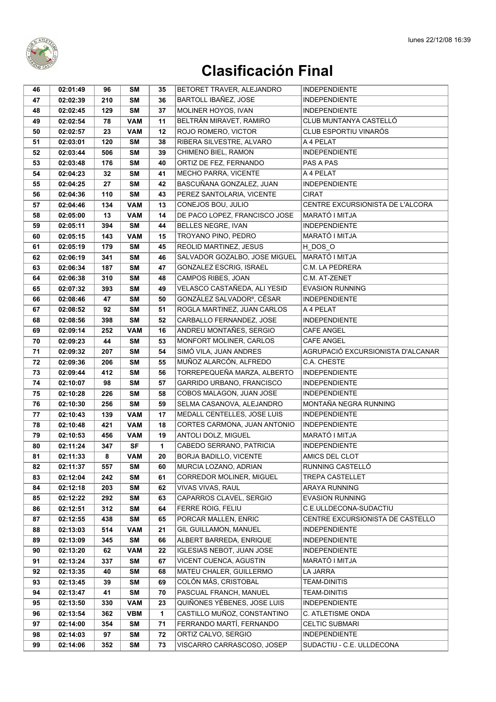

| BARTOLL IBAÑEZ, JOSE<br>47<br>02:02:39<br>210<br><b>SM</b><br>36<br><b>INDEPENDIENTE</b><br>MOLINER HOYOS, IVAN<br><b>INDEPENDIENTE</b><br>02:02:45<br>129<br><b>SM</b><br>37<br>48<br>BELTRÁN MIRAVET, RAMIRO<br>CLUB MUNTANYA CASTELLÓ<br>78<br><b>VAM</b><br>11<br>49<br>02:02:54<br><b>CLUB ESPORTIU VINARÓS</b><br>ROJO ROMERO, VICTOR<br>23<br>12<br>50<br>02:02:57<br><b>VAM</b><br>RIBERA SILVESTRE, ALVARO<br>51<br>120<br><b>SM</b><br>38<br>A 4 PELAT<br>02:03:01<br>CHIMENO BIEL, RAMON<br><b>INDEPENDIENTE</b><br>52<br>02:03:44<br>506<br><b>SM</b><br>39<br>53<br>176<br><b>SM</b><br>40<br>ORTIZ DE FEZ, FERNANDO<br>PAS A PAS<br>02:03:48<br><b>MECHO PARRA, VICENTE</b><br>A 4 PELAT<br><b>SM</b><br>41<br>54<br>02:04:23<br>32<br>BASCUÑANA GONZALEZ, JUAN<br><b>INDEPENDIENTE</b><br>02:04:25<br>27<br><b>SM</b><br>42<br>55<br><b>SM</b><br>PEREZ SANTOLARIA, VICENTE<br><b>CIRAT</b><br>02:04:36<br>110<br>43<br>56<br>CONEJOS BOU, JULIO<br><b>VAM</b><br>13<br>CENTRE EXCURSIONISTA DE L'ALCORA<br>02:04:46<br>134<br>57<br>MARATÓ I MITJA<br>14<br>DE PACO LOPEZ, FRANCISCO JOSE<br>58<br>02:05:00<br>13<br><b>VAM</b><br><b>BELLES NEGRE, IVAN</b><br>59<br>02:05:11<br>394<br><b>SM</b><br>44<br><b>INDEPENDIENTE</b><br>TROYANO PINO, PEDRO<br>MARATÓ I MITJA<br>15<br>02:05:15<br>143<br><b>VAM</b><br>60 |  |
|----------------------------------------------------------------------------------------------------------------------------------------------------------------------------------------------------------------------------------------------------------------------------------------------------------------------------------------------------------------------------------------------------------------------------------------------------------------------------------------------------------------------------------------------------------------------------------------------------------------------------------------------------------------------------------------------------------------------------------------------------------------------------------------------------------------------------------------------------------------------------------------------------------------------------------------------------------------------------------------------------------------------------------------------------------------------------------------------------------------------------------------------------------------------------------------------------------------------------------------------------------------------------------------------------------------------------------------|--|
|                                                                                                                                                                                                                                                                                                                                                                                                                                                                                                                                                                                                                                                                                                                                                                                                                                                                                                                                                                                                                                                                                                                                                                                                                                                                                                                                        |  |
|                                                                                                                                                                                                                                                                                                                                                                                                                                                                                                                                                                                                                                                                                                                                                                                                                                                                                                                                                                                                                                                                                                                                                                                                                                                                                                                                        |  |
|                                                                                                                                                                                                                                                                                                                                                                                                                                                                                                                                                                                                                                                                                                                                                                                                                                                                                                                                                                                                                                                                                                                                                                                                                                                                                                                                        |  |
|                                                                                                                                                                                                                                                                                                                                                                                                                                                                                                                                                                                                                                                                                                                                                                                                                                                                                                                                                                                                                                                                                                                                                                                                                                                                                                                                        |  |
|                                                                                                                                                                                                                                                                                                                                                                                                                                                                                                                                                                                                                                                                                                                                                                                                                                                                                                                                                                                                                                                                                                                                                                                                                                                                                                                                        |  |
|                                                                                                                                                                                                                                                                                                                                                                                                                                                                                                                                                                                                                                                                                                                                                                                                                                                                                                                                                                                                                                                                                                                                                                                                                                                                                                                                        |  |
|                                                                                                                                                                                                                                                                                                                                                                                                                                                                                                                                                                                                                                                                                                                                                                                                                                                                                                                                                                                                                                                                                                                                                                                                                                                                                                                                        |  |
|                                                                                                                                                                                                                                                                                                                                                                                                                                                                                                                                                                                                                                                                                                                                                                                                                                                                                                                                                                                                                                                                                                                                                                                                                                                                                                                                        |  |
|                                                                                                                                                                                                                                                                                                                                                                                                                                                                                                                                                                                                                                                                                                                                                                                                                                                                                                                                                                                                                                                                                                                                                                                                                                                                                                                                        |  |
|                                                                                                                                                                                                                                                                                                                                                                                                                                                                                                                                                                                                                                                                                                                                                                                                                                                                                                                                                                                                                                                                                                                                                                                                                                                                                                                                        |  |
|                                                                                                                                                                                                                                                                                                                                                                                                                                                                                                                                                                                                                                                                                                                                                                                                                                                                                                                                                                                                                                                                                                                                                                                                                                                                                                                                        |  |
|                                                                                                                                                                                                                                                                                                                                                                                                                                                                                                                                                                                                                                                                                                                                                                                                                                                                                                                                                                                                                                                                                                                                                                                                                                                                                                                                        |  |
|                                                                                                                                                                                                                                                                                                                                                                                                                                                                                                                                                                                                                                                                                                                                                                                                                                                                                                                                                                                                                                                                                                                                                                                                                                                                                                                                        |  |
|                                                                                                                                                                                                                                                                                                                                                                                                                                                                                                                                                                                                                                                                                                                                                                                                                                                                                                                                                                                                                                                                                                                                                                                                                                                                                                                                        |  |
| REOLID MARTINEZ, JESUS<br>45<br>H_DOS_O<br>61<br>02:05:19<br>179<br><b>SM</b>                                                                                                                                                                                                                                                                                                                                                                                                                                                                                                                                                                                                                                                                                                                                                                                                                                                                                                                                                                                                                                                                                                                                                                                                                                                          |  |
| SALVADOR GOZALBO, JOSE MIGUEL<br>MARATÓ I MITJA<br>62<br>341<br><b>SM</b><br>46<br>02:06:19                                                                                                                                                                                                                                                                                                                                                                                                                                                                                                                                                                                                                                                                                                                                                                                                                                                                                                                                                                                                                                                                                                                                                                                                                                            |  |
| GONZALEZ ESCRIG, ISRAEL<br>C.M. LA PEDRERA<br>63<br>02:06:34<br>187<br><b>SM</b><br>47                                                                                                                                                                                                                                                                                                                                                                                                                                                                                                                                                                                                                                                                                                                                                                                                                                                                                                                                                                                                                                                                                                                                                                                                                                                 |  |
| CAMPOS RIBES, JOAN<br>64<br>02:06:38<br>310<br><b>SM</b><br>48<br>C.M. AT-ZENET                                                                                                                                                                                                                                                                                                                                                                                                                                                                                                                                                                                                                                                                                                                                                                                                                                                                                                                                                                                                                                                                                                                                                                                                                                                        |  |
| VELASCO CASTAÑEDA, ALI YESID<br><b>EVASION RUNNING</b><br>02:07:32<br>393<br><b>SM</b><br>49<br>65                                                                                                                                                                                                                                                                                                                                                                                                                                                                                                                                                                                                                                                                                                                                                                                                                                                                                                                                                                                                                                                                                                                                                                                                                                     |  |
| <b>SM</b><br>GONZÁLEZ SALVADORº, CÉSAR<br>02:08:46<br>47<br>50<br><b>INDEPENDIENTE</b><br>66                                                                                                                                                                                                                                                                                                                                                                                                                                                                                                                                                                                                                                                                                                                                                                                                                                                                                                                                                                                                                                                                                                                                                                                                                                           |  |
| ROGLA MARTINEZ, JUAN CARLOS<br><b>SM</b><br>A 4 PELAT<br>02:08:52<br>92<br>51<br>67                                                                                                                                                                                                                                                                                                                                                                                                                                                                                                                                                                                                                                                                                                                                                                                                                                                                                                                                                                                                                                                                                                                                                                                                                                                    |  |
| 02:08:56<br><b>SM</b><br>52<br>CARBALLO FERNANDEZ, JOSE<br><b>INDEPENDIENTE</b><br>68<br>398                                                                                                                                                                                                                                                                                                                                                                                                                                                                                                                                                                                                                                                                                                                                                                                                                                                                                                                                                                                                                                                                                                                                                                                                                                           |  |
| ANDREU MONTAÑES, SERGIO<br><b>CAFE ANGEL</b><br>69<br>02:09:14<br>252<br><b>VAM</b><br>16                                                                                                                                                                                                                                                                                                                                                                                                                                                                                                                                                                                                                                                                                                                                                                                                                                                                                                                                                                                                                                                                                                                                                                                                                                              |  |
| <b>MONFORT MOLINER, CARLOS</b><br>CAFE ANGEL<br>70<br>44<br><b>SM</b><br>53<br>02:09:23                                                                                                                                                                                                                                                                                                                                                                                                                                                                                                                                                                                                                                                                                                                                                                                                                                                                                                                                                                                                                                                                                                                                                                                                                                                |  |
| SIMÓ VILA, JUAN ANDRES<br>AGRUPACIÓ EXCURSIONISTA D'ALCANAR<br>71<br>02:09:32<br><b>SM</b><br>54<br>207                                                                                                                                                                                                                                                                                                                                                                                                                                                                                                                                                                                                                                                                                                                                                                                                                                                                                                                                                                                                                                                                                                                                                                                                                                |  |
| MUÑOZ ALARCÓN, ALFREDO<br>72<br>206<br><b>SM</b><br>55<br>C.A. CHESTE<br>02:09:36                                                                                                                                                                                                                                                                                                                                                                                                                                                                                                                                                                                                                                                                                                                                                                                                                                                                                                                                                                                                                                                                                                                                                                                                                                                      |  |
| TORREPEQUEÑA MARZA, ALBERTO<br><b>INDEPENDIENTE</b><br>73<br>412<br><b>SM</b><br>56<br>02:09:44                                                                                                                                                                                                                                                                                                                                                                                                                                                                                                                                                                                                                                                                                                                                                                                                                                                                                                                                                                                                                                                                                                                                                                                                                                        |  |
| GARRIDO URBANO, FRANCISCO<br>74<br>98<br><b>SM</b><br>57<br><b>INDEPENDIENTE</b><br>02:10:07                                                                                                                                                                                                                                                                                                                                                                                                                                                                                                                                                                                                                                                                                                                                                                                                                                                                                                                                                                                                                                                                                                                                                                                                                                           |  |
| COBOS MALAGON, JUAN JOSE<br><b>INDEPENDIENTE</b><br>75<br>226<br><b>SM</b><br>58<br>02:10:28                                                                                                                                                                                                                                                                                                                                                                                                                                                                                                                                                                                                                                                                                                                                                                                                                                                                                                                                                                                                                                                                                                                                                                                                                                           |  |
| MONTAÑA NEGRA RUNNING<br><b>SM</b><br>SELMA CASANOVA, ALEJANDRO<br>76<br>02:10:30<br>256<br>59                                                                                                                                                                                                                                                                                                                                                                                                                                                                                                                                                                                                                                                                                                                                                                                                                                                                                                                                                                                                                                                                                                                                                                                                                                         |  |
| MEDALL CENTELLES, JOSE LUIS<br><b>INDEPENDIENTE</b><br>77<br>02:10:43<br>139<br><b>VAM</b><br>17                                                                                                                                                                                                                                                                                                                                                                                                                                                                                                                                                                                                                                                                                                                                                                                                                                                                                                                                                                                                                                                                                                                                                                                                                                       |  |
| 78<br>02:10:48<br>421<br><b>VAM</b><br>18<br>CORTES CARMONA, JUAN ANTONIO<br><b>INDEPENDIENTE</b>                                                                                                                                                                                                                                                                                                                                                                                                                                                                                                                                                                                                                                                                                                                                                                                                                                                                                                                                                                                                                                                                                                                                                                                                                                      |  |
| MARATÓ I MITJA<br>ANTOLI DOLZ, MIGUEL<br>79<br>02:10:53<br><b>VAM</b><br>19<br>456                                                                                                                                                                                                                                                                                                                                                                                                                                                                                                                                                                                                                                                                                                                                                                                                                                                                                                                                                                                                                                                                                                                                                                                                                                                     |  |
| CABEDO SERRANO, PATRICIA<br><b>SF</b><br><b>INDEPENDIENTE</b><br>1<br>80<br>02:11:24<br>347                                                                                                                                                                                                                                                                                                                                                                                                                                                                                                                                                                                                                                                                                                                                                                                                                                                                                                                                                                                                                                                                                                                                                                                                                                            |  |
| <b>VAM</b><br>20<br>BORJA BADILLO, VICENTE<br>81<br>02:11:33<br>8<br>AMICS DEL CLOT                                                                                                                                                                                                                                                                                                                                                                                                                                                                                                                                                                                                                                                                                                                                                                                                                                                                                                                                                                                                                                                                                                                                                                                                                                                    |  |
| RUNNING CASTELLÓ<br>MURCIA LOZANO, ADRIAN<br>02:11:37<br>SM<br>82<br>557<br>60                                                                                                                                                                                                                                                                                                                                                                                                                                                                                                                                                                                                                                                                                                                                                                                                                                                                                                                                                                                                                                                                                                                                                                                                                                                         |  |
| CORREDOR MOLINER, MIGUEL<br>83<br>02:12:04<br>242<br>SM<br>61<br><b>TREPA CASTELLET</b>                                                                                                                                                                                                                                                                                                                                                                                                                                                                                                                                                                                                                                                                                                                                                                                                                                                                                                                                                                                                                                                                                                                                                                                                                                                |  |
| VIVAS VIVAS, RAUL<br>62<br>ARAYA RUNNING<br>84<br>02:12:18<br>203<br>SM                                                                                                                                                                                                                                                                                                                                                                                                                                                                                                                                                                                                                                                                                                                                                                                                                                                                                                                                                                                                                                                                                                                                                                                                                                                                |  |
| CAPARROS CLAVEL, SERGIO<br><b>EVASION RUNNING</b><br>292<br>SM<br>63<br>85<br>02:12:22                                                                                                                                                                                                                                                                                                                                                                                                                                                                                                                                                                                                                                                                                                                                                                                                                                                                                                                                                                                                                                                                                                                                                                                                                                                 |  |
| C.E.ULLDECONA-SUDACTIU<br>64<br>FERRE ROIG, FELIU<br>86<br>02:12:51<br>312<br>SΜ<br>CENTRE EXCURSIONISTA DE CASTELLO                                                                                                                                                                                                                                                                                                                                                                                                                                                                                                                                                                                                                                                                                                                                                                                                                                                                                                                                                                                                                                                                                                                                                                                                                   |  |
| SM<br>PORCAR MALLEN, ENRIC<br>87<br>02:12:55<br>438<br>65<br>GIL GUILLAMON, MANUEL<br><b>INDEPENDIENTE</b><br>02:13:03<br><b>VAM</b><br>21<br>88<br>514                                                                                                                                                                                                                                                                                                                                                                                                                                                                                                                                                                                                                                                                                                                                                                                                                                                                                                                                                                                                                                                                                                                                                                                |  |
| 66<br>ALBERT BARREDA, ENRIQUE<br><b>INDEPENDIENTE</b><br>89<br>02:13:09<br>345<br>SM                                                                                                                                                                                                                                                                                                                                                                                                                                                                                                                                                                                                                                                                                                                                                                                                                                                                                                                                                                                                                                                                                                                                                                                                                                                   |  |
| <b>IGLESIAS NEBOT, JUAN JOSE</b><br><b>INDEPENDIENTE</b><br>02:13:20<br><b>VAM</b><br>22<br>90<br>62                                                                                                                                                                                                                                                                                                                                                                                                                                                                                                                                                                                                                                                                                                                                                                                                                                                                                                                                                                                                                                                                                                                                                                                                                                   |  |
| MARATÓ I MITJA<br>67<br>VICENT CUENCA, AGUSTIN<br>91<br>02:13:24<br>337<br>SM                                                                                                                                                                                                                                                                                                                                                                                                                                                                                                                                                                                                                                                                                                                                                                                                                                                                                                                                                                                                                                                                                                                                                                                                                                                          |  |
| MATEU CHALER, GUILLERMO<br>68<br>LA JARRA<br>92<br>02:13:35<br>40<br>SM                                                                                                                                                                                                                                                                                                                                                                                                                                                                                                                                                                                                                                                                                                                                                                                                                                                                                                                                                                                                                                                                                                                                                                                                                                                                |  |
| COLÓN MÁS, CRISTOBAL<br>93<br>39<br><b>TEAM-DINITIS</b><br>02:13:45<br>SM<br>69                                                                                                                                                                                                                                                                                                                                                                                                                                                                                                                                                                                                                                                                                                                                                                                                                                                                                                                                                                                                                                                                                                                                                                                                                                                        |  |
| PASCUAL FRANCH, MANUEL<br>94<br>70<br><b>TEAM-DINITIS</b><br>02:13:47<br>41<br>SM                                                                                                                                                                                                                                                                                                                                                                                                                                                                                                                                                                                                                                                                                                                                                                                                                                                                                                                                                                                                                                                                                                                                                                                                                                                      |  |
| QUIÑONES YÉBENES, JOSE LUIS<br>95<br>02:13:50<br><b>VAM</b><br>23<br><b>INDEPENDIENTE</b><br>330                                                                                                                                                                                                                                                                                                                                                                                                                                                                                                                                                                                                                                                                                                                                                                                                                                                                                                                                                                                                                                                                                                                                                                                                                                       |  |
| CASTILLO MUÑOZ, CONSTANTINO<br><b>VBM</b><br>1<br>C. ATLETISME ONDA<br>96<br>02:13:54<br>362                                                                                                                                                                                                                                                                                                                                                                                                                                                                                                                                                                                                                                                                                                                                                                                                                                                                                                                                                                                                                                                                                                                                                                                                                                           |  |
| FERRANDO MARTÍ, FERNANDO<br>71<br>97<br>02:14:00<br>354<br>SM<br><b>CELTIC SUBMARI</b>                                                                                                                                                                                                                                                                                                                                                                                                                                                                                                                                                                                                                                                                                                                                                                                                                                                                                                                                                                                                                                                                                                                                                                                                                                                 |  |
| ORTIZ CALVO, SERGIO<br>SM<br>72<br><b>INDEPENDIENTE</b><br>98<br>02:14:03<br>97                                                                                                                                                                                                                                                                                                                                                                                                                                                                                                                                                                                                                                                                                                                                                                                                                                                                                                                                                                                                                                                                                                                                                                                                                                                        |  |
| 73<br>VISCARRO CARRASCOSO, JOSEP<br>SUDACTIU - C.E. ULLDECONA<br>99<br>02:14:06<br>352<br>SM                                                                                                                                                                                                                                                                                                                                                                                                                                                                                                                                                                                                                                                                                                                                                                                                                                                                                                                                                                                                                                                                                                                                                                                                                                           |  |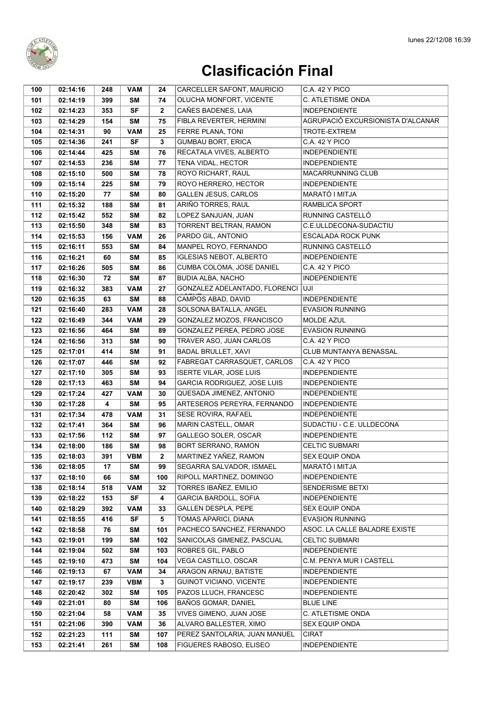

| 100        | 02:14:16             | 248        | <b>VAM</b>       | 24           | CARCELLER SAFONT, MAURICIO                       | C.A. 42 Y PICO                               |
|------------|----------------------|------------|------------------|--------------|--------------------------------------------------|----------------------------------------------|
| 101        | 02:14:19             | 399        | <b>SM</b>        | 74           | OLUCHA MONFORT, VICENTE                          | C. ATLETISME ONDA                            |
| 102        | 02:14:23             | 353        | <b>SF</b>        | $\mathbf{2}$ | CAÑES BADENES, LAIA                              | <b>INDEPENDIENTE</b>                         |
| 103        | 02:14:29             | 154        | SM               | 75           | FIBLA REVERTER, HERMINI                          | AGRUPACIÓ EXCURSIONISTA D'ALCANAR            |
| 104        | 02:14:31             | 90         | <b>VAM</b>       | 25           | FERRE PLANA, TONI                                | TROTE-EXTREM                                 |
| 105        | 02:14:36             | 241        | SF               | 3            | <b>GUMBAU BORT, ERICA</b>                        | C.A. 42 Y PICO                               |
| 106        | 02:14:44             | 425        | <b>SM</b>        | 76           | RECATALA VIVES, ALBERTO                          | <b>INDEPENDIENTE</b>                         |
| 107        | 02:14:53             | 236        | <b>SM</b>        | 77           | TENA VIDAL, HECTOR                               | <b>INDEPENDIENTE</b>                         |
| 108        | 02:15:10             | 500        | <b>SM</b>        | 78           | ROYO RICHART, RAUL                               | <b>MACARRUNNING CLUB</b>                     |
| 109        | 02:15:14             | 225        | <b>SM</b>        | 79           | ROYO HERRERO, HECTOR                             | <b>INDEPENDIENTE</b>                         |
| 110        | 02:15:20             | 77         | <b>SM</b>        | 80           | <b>GALLEN JESUS, CARLOS</b>                      | MARATÓ I MITJA                               |
| 111        | 02:15:32             | 188        | <b>SM</b>        | 81           | ARIÑO TORRES, RAUL                               | <b>RAMBLICA SPORT</b>                        |
| 112        | 02:15:42             | 552        | <b>SM</b>        | 82           | LOPEZ SANJUAN, JUAN                              | RUNNING CASTELLÓ                             |
| 113        | 02:15:50             | 348        | <b>SM</b>        | 83           | TORRENT BELTRAN, RAMON                           | C.E.ULLDECONA-SUDACTIU                       |
| 114        | 02:15:53             | 156        | <b>VAM</b>       | 26           | PARDO GIL, ANTONIO                               | <b>ESCALADA ROCK PUNK</b>                    |
| 115        | 02:16:11             | 553        | <b>SM</b>        | 84           | MANPEL ROYO, FERNANDO                            | RUNNING CASTELLÓ                             |
| 116        | 02:16:21             | 60         | <b>SM</b>        | 85           | <b>IGLESIAS NEBOT, ALBERTO</b>                   | <b>INDEPENDIENTE</b>                         |
| 117        | 02:16:26             | 505        | <b>SM</b>        | 86           | CUMBA COLOMA, JOSE DANIEL                        | C.A. 42 Y PICO                               |
| 118        | 02:16:30             | 72         | <b>SM</b>        | 87           | <b>BUDIA ALBA, NACHO</b>                         | <b>INDEPENDIENTE</b>                         |
| 119        | 02:16:32             | 383        | <b>VAM</b>       | 27           | GONZALEZ ADELANTADO, FLORENCI                    | <b>UJI</b>                                   |
| 120        | 02:16:35             | 63         | <b>SM</b>        | 88           | CAMPOS ABAD, DAVID                               | <b>INDEPENDIENTE</b>                         |
| 121        | 02:16:40             | 283        | <b>VAM</b>       | 28           | SOLSONA BATALLA, ANGEL                           | EVASION RUNNING                              |
| 122        | 02:16:49             | 344        | <b>VAM</b>       | 29           | GONZALEZ MOZOS, FRANCISCO                        | <b>MOLDE AZUL</b>                            |
| 123        | 02:16:56             | 464        | <b>SM</b>        | 89           | GONZALEZ PEREA, PEDRO JOSE                       | <b>EVASION RUNNING</b>                       |
| 124        | 02:16:56             | 313        | <b>SM</b>        | 90           | TRAVER ASO, JUAN CARLOS                          | C.A. 42 Y PICO                               |
| 125        | 02:17:01             | 414        | SM               | 91           | <b>BADAL BRULLET, XAVI</b>                       | CLUB MUNTANYA BENASSAL                       |
| 126        | 02:17:07             | 446        | SΜ               | 92           | FABREGAT CARRASQUET, CARLOS                      | C.A. 42 Y PICO                               |
| 127        | 02:17:10             | 305        | <b>SM</b>        | 93           | <b>ISERTE VILAR, JOSE LUIS</b>                   | <b>INDEPENDIENTE</b>                         |
| 128        | 02:17:13             | 463        | SM               | 94           | GARCIA RODRIGUEZ, JOSE LUIS                      | <b>INDEPENDIENTE</b>                         |
| 129        | 02:17:24             | 427        | <b>VAM</b>       | 30           | QUESADA JIMENEZ, ANTONIO                         | <b>INDEPENDIENTE</b>                         |
| 130        | 02:17:28             | 4          | <b>SM</b>        | 95           | ARTESEROS PEREYRA, FERNANDO                      | <b>INDEPENDIENTE</b>                         |
| 131        | 02:17:34             | 478        | <b>VAM</b>       | 31           | SESE ROVIRA, RAFAEL                              | <b>INDEPENDIENTE</b>                         |
| 132        | 02:17:41             | 364        | <b>SM</b>        | 96           | MARIN CASTELL, OMAR                              | SUDACTIU - C.E. ULLDECONA                    |
| 133        | 02:17:56             | 112        | <b>SM</b>        | 97           | <b>GALLEGO SOLER, OSCAR</b>                      | <b>INDEPENDIENTE</b>                         |
| 134        | 02:18:00             | 186        | SM               | 98           | <b>BORT SERRANO, RAMON</b>                       | <b>CELTIC SUBMARI</b>                        |
| 135        | 02:18:03             | 391        | <b>VBM</b>       | $\mathbf{2}$ | MARTINEZ YAÑEZ, RAMON                            | SEX EQUIP ONDA                               |
| 136        | 02:18:05             | 17         | SM               | 99           | SEGARRA SALVADOR, ISMAEL                         | MARATÓ I MITJA                               |
| 137        | 02:18:10             | 66         | SM               | 100          | RIPOLL MARTINEZ, DOMINGO                         | <b>INDEPENDIENTE</b>                         |
| 138        | 02:18:14             | 518        | <b>VAM</b>       | 32           | TORRES IBAÑEZ, EMILIO                            | SENDERISME BETXI                             |
| 139        | 02:18:22             | 153        | <b>SF</b>        | 4            | <b>GARCIA BARDOLL, SOFIA</b>                     | <b>INDEPENDIENTE</b>                         |
| 140        | 02:18:29             | 392        | <b>VAM</b>       | 33           | GALLEN DESPLA, PEPE                              | <b>SEX EQUIP ONDA</b>                        |
| 141        | 02:18:55             | 416        | <b>SF</b>        | 5            | TOMAS APARICI, DIANA                             | <b>EVASION RUNNING</b>                       |
| 142        | 02:18:58             | 76         | SM               | 101          | PACHECO SANCHEZ, FERNANDO                        | ASOC. LA CALLE BALADRE EXISTE                |
| 143        | 02:19:01             | 199        | SM               | 102          | SANICOLAS GIMENEZ, PASCUAL                       | <b>CELTIC SUBMARI</b>                        |
| 144        | 02:19:04             | 502        | SM               | 103<br>104   | ROBRES GIL, PABLO<br>VEGA CASTILLO, OSCAR        | <b>INDEPENDIENTE</b>                         |
| 145        | 02:19:10             | 473        | SM               |              |                                                  | C.M. PENYA MUR I CASTELL                     |
| 146        | 02:19:13             | 67         | <b>VAM</b>       | 34           | ARAGON ARNAU, BATISTE                            | <b>INDEPENDIENTE</b>                         |
| 147<br>148 | 02:19:17<br>02:20:42 | 239<br>302 | <b>VBM</b><br>SM | 3<br>105     | GUINOT VICIANO, VICENTE<br>PAZOS LLUCH, FRANCESC | <b>INDEPENDIENTE</b><br><b>INDEPENDIENTE</b> |
|            |                      |            |                  |              |                                                  |                                              |
| 149<br>150 | 02:21:01<br>02:21:04 | 80<br>58   | SM<br><b>VAM</b> | 106<br>35    | BAÑOS GOMAR, DANIEL<br>VIVES GIMENO, JUAN JOSE   | <b>BLUE LINE</b><br>C. ATLETISME ONDA        |
| 151        | 02:21:06             | 390        | <b>VAM</b>       | 36           | ALVARO BALLESTER, XIMO                           | <b>SEX EQUIP ONDA</b>                        |
| 152        | 02:21:23             | 111        | SM               | 107          | PEREZ SANTOLARIA, JUAN MANUEL                    | <b>CIRAT</b>                                 |
| 153        | 02:21:41             | 261        | SM               | 108          | FIGUERES RABOSO, ELISEO                          | <b>INDEPENDIENTE</b>                         |
|            |                      |            |                  |              |                                                  |                                              |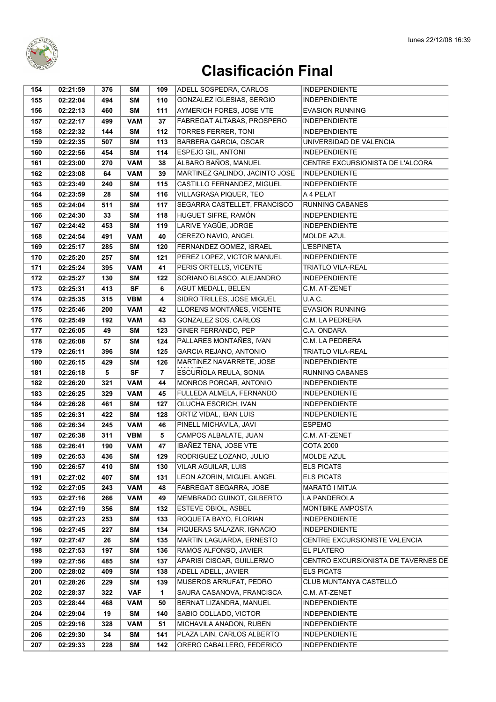

| 154        | 02:21:59             | 376       | SΜ               | 109     | ADELL SOSPEDRA, CARLOS                               | <b>INDEPENDIENTE</b>                                     |
|------------|----------------------|-----------|------------------|---------|------------------------------------------------------|----------------------------------------------------------|
| 155        | 02:22:04             | 494       | <b>SM</b>        | 110     | GONZALEZ IGLESIAS, SERGIO                            | <b>INDEPENDIENTE</b>                                     |
| 156        | 02:22:13             | 460       | <b>SM</b>        | 111     | AYMERICH FORES, JOSE VTE                             | EVASION RUNNING                                          |
| 157        | 02:22:17             | 499       | <b>VAM</b>       | 37      | FABREGAT ALTABAS, PROSPERO                           | <b>INDEPENDIENTE</b>                                     |
| 158        | 02:22:32             | 144       | SM               | 112     | <b>TORRES FERRER, TONI</b>                           | <b>INDEPENDIENTE</b>                                     |
| 159        | 02:22:35             | 507       | <b>SM</b>        | 113     | <b>BARBERA GARCIA, OSCAR</b>                         | UNIVERSIDAD DE VALENCIA                                  |
| 160        | 02:22:56             | 454       | <b>SM</b>        | 114     | <b>ESPEJO GIL, ANTONI</b>                            | <b>INDEPENDIENTE</b>                                     |
| 161        | 02:23:00             | 270       | <b>VAM</b>       | 38      | ALBARO BAÑOS, MANUEL                                 | CENTRE EXCURSIONISTA DE L'ALCORA                         |
| 162        | 02:23:08             | 64        | <b>VAM</b>       | 39      | MARTINEZ GALINDO, JACINTO JOSE                       | <b>INDEPENDIENTE</b>                                     |
| 163        | 02:23:49             | 240       | SΜ               | 115     | CASTILLO FERNANDEZ, MIGUEL                           | <b>INDEPENDIENTE</b>                                     |
| 164        | 02:23:59             | 28        | <b>SM</b>        | 116     | VILLAGRASA PIQUER, TEO                               | A 4 PELAT                                                |
| 165        | 02:24:04             | 511       | <b>SM</b>        | 117     | SEGARRA CASTELLET, FRANCISCO                         | <b>RUNNING CABANES</b>                                   |
| 166        | 02:24:30             | 33        | <b>SM</b>        | 118     | HUGUET SIFRE, RAMÓN                                  | <b>INDEPENDIENTE</b>                                     |
| 167        | 02:24:42             | 453       | <b>SM</b>        | 119     | LARIVE YAGÜE, JORGE                                  | <b>INDEPENDIENTE</b>                                     |
| 168        | 02:24:54             | 491       | <b>VAM</b>       | 40      | CEREZO NAVIO, ANGEL                                  | <b>MOLDE AZUL</b>                                        |
| 169        | 02:25:17             | 285       | SM               | 120     | FERNANDEZ GOMEZ, ISRAEL                              | <b>L'ESPINETA</b>                                        |
| 170        | 02:25:20             | 257       | <b>SM</b>        | 121     | PEREZ LOPEZ, VICTOR MANUEL                           | <b>INDEPENDIENTE</b>                                     |
| 171        | 02:25:24             | 395       | <b>VAM</b>       | 41      | PERIS ORTELLS, VICENTE                               | <b>TRIATLO VILA-REAL</b>                                 |
| 172        | 02:25:27             | 130       | <b>SM</b>        | 122     | SORIANO BLASCO, ALEJANDRO                            | <b>INDEPENDIENTE</b>                                     |
| 173        | 02:25:31             | 413       | <b>SF</b>        | 6       | AGUT MEDALL, BELEN                                   | C.M. AT-ZENET                                            |
| 174        | 02:25:35             | 315       | <b>VBM</b>       | 4       | SIDRO TRILLES, JOSE MIGUEL                           | U.A.C.                                                   |
| 175        | 02:25:46             | 200       | <b>VAM</b>       | 42      | LLORENS MONTAÑES, VICENTE                            | <b>EVASION RUNNING</b>                                   |
| 176        | 02:25:49             | 192       | <b>VAM</b>       | 43      | GONZALEZ SOS, CARLOS                                 | C.M. LA PEDRERA                                          |
| 177        | 02:26:05             | 49        | <b>SM</b>        | 123     | GINER FERRANDO, PEP                                  | C.A. ONDARA                                              |
| 178        | 02:26:08             | 57        | <b>SM</b>        | 124     | PALLARES MONTAÑES, IVAN                              | C.M. LA PEDRERA                                          |
| 179        | 02:26:11             | 396       | SM               | 125     | GARCIA REJANO, ANTONIO                               | TRIATLO VILA-REAL                                        |
| 180        | 02:26:15             | 429       | SM               | 126     | MARTINEZ NAVARRETE, JOSE                             | <b>INDEPENDIENTE</b>                                     |
| 181        | 02:26:18             | 5         | <b>SF</b>        | 7       | ESCURIOLA REULA, SONIA                               | RUNNING CABANES                                          |
| 182        | 02:26:20             | 321       | <b>VAM</b>       | 44      | MONROS PORCAR, ANTONIO                               | <b>INDEPENDIENTE</b>                                     |
| 183        | 02:26:25             | 329       | <b>VAM</b>       | 45      | FULLEDA ALMELA, FERNANDO                             | <b>INDEPENDIENTE</b>                                     |
| 184        | 02:26:28             | 461       | <b>SM</b>        | 127     | OLUCHA ESCRICH, IVAN                                 | <b>INDEPENDIENTE</b>                                     |
| 185        | 02:26:31             | 422       | <b>SM</b>        | 128     | ORTIZ VIDAL, IBAN LUIS                               | <b>INDEPENDIENTE</b>                                     |
| 186        | 02:26:34             | 245       | <b>VAM</b>       | 46      | PINELL MICHAVILA, JAVI                               | ESPEMO                                                   |
| 187        | 02:26:38             | 311       | <b>VBM</b>       | 5       | CAMPOS ALBALATE, JUAN                                | C.M. AT-ZENET                                            |
| 188        | 02:26:41             | 190       | <b>VAM</b>       | 47      | IBAÑEZ TENA, JOSE VTE                                | <b>COTA 2000</b>                                         |
| 189        | 02:26:53             | 436       | SM               | 129     | RODRIGUEZ LOZANO, JULIO                              | MOLDE AZUL                                               |
| 190        | 02:26:57             | 410       | SΜ               | 130     | <b>VILAR AGUILAR, LUIS</b>                           | <b>ELS PICATS</b>                                        |
| 191        | 02:27:02             | 407       | SM               | 131     | LEON AZORIN, MIGUEL ANGEL                            | <b>ELS PICATS</b>                                        |
| 192        | 02:27:05             | 243       | <b>VAM</b>       | 48      | FABREGAT SEGARRA, JOSE                               | MARATÓ I MITJA                                           |
| 193        | 02:27:16             | 266       | <b>VAM</b>       | 49      | MEMBRADO GUINOT, GILBERTO                            | LA PANDEROLA                                             |
| 194        | 02:27:19             | 356       | SM               | 132     | ESTEVE OBIOL, ASBEL                                  | MONTBIKE AMPOSTA                                         |
| 195        | 02:27:23             | 253       | SM               | 133     | ROQUETA BAYO, FLORIAN                                | <b>INDEPENDIENTE</b>                                     |
| 196        | 02:27:45             | 227       | <b>SM</b>        | 134     | PIQUERAS SALAZAR, IGNACIO                            | <b>INDEPENDIENTE</b>                                     |
| 197        | 02:27:47             | 26        | SM               | 135     | MARTIN LAGUARDA, ERNESTO                             | CENTRE EXCURSIONISTE VALENCIA                            |
| 198        | 02:27:53             | 197       | <b>SM</b>        | 136     | RAMOS ALFONSO, JAVIER                                | EL PLATERO                                               |
| 199        | 02:27:56             | 485       | SΜ               | 137     | APARISI CISCAR, GUILLERMO<br>ADELL ADELL, JAVIER     | CENTRO EXCURSIONISTA DE TAVERNES DE<br><b>ELS PICATS</b> |
| 200        | 02:28:02             | 409       | SM               | 138     |                                                      |                                                          |
| 201        | 02:28:26             | 229       | SM               | 139     | MUSEROS ARRUFAT, PEDRO                               | CLUB MUNTANYA CASTELLÓ                                   |
| 202        | 02:28:37             | 322       | <b>VAF</b>       | 1<br>50 | SAURA CASANOVA, FRANCISCA<br>BERNAT LIZANDRA, MANUEL | C.M. AT-ZENET                                            |
| 203<br>204 | 02:28:44<br>02:29:04 | 468<br>19 | <b>VAM</b><br>SM | 140     | SABIO COLLADO, VICTOR                                | INDEPENDIENTE<br><b>INDEPENDIENTE</b>                    |
| 205        | 02:29:16             | 328       | <b>VAM</b>       | 51      | MICHAVILA ANADON, RUBEN                              | <b>INDEPENDIENTE</b>                                     |
| 206        | 02:29:30             | 34        | SM               | 141     | PLAZA LAIN, CARLOS ALBERTO                           | <b>INDEPENDIENTE</b>                                     |
| 207        | 02:29:33             | 228       | SM               | 142     | ORERO CABALLERO, FEDERICO                            | <b>INDEPENDIENTE</b>                                     |
|            |                      |           |                  |         |                                                      |                                                          |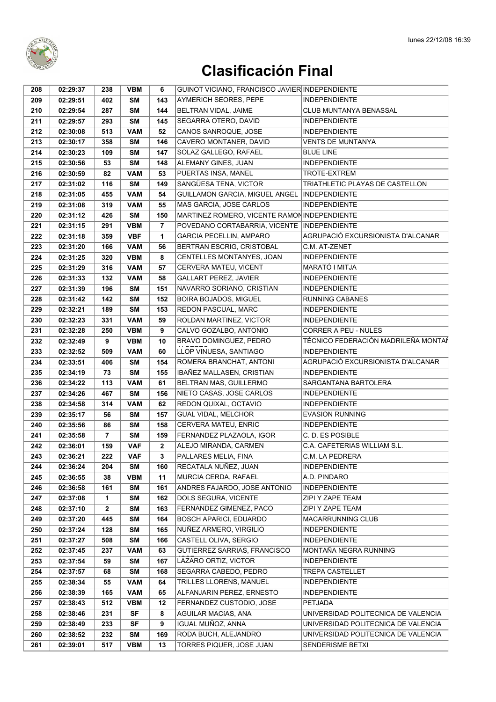

| 208        | 02:29:37             | 238            | <b>VBM</b> | 6              | GUINOT VICIANO, FRANCISCO JAVIER INDEPENDIENTE |                                     |
|------------|----------------------|----------------|------------|----------------|------------------------------------------------|-------------------------------------|
| 209        | 02:29:51             | 402            | <b>SM</b>  | 143            | <b>AYMERICH SEORES, PEPE</b>                   | <b>INDEPENDIENTE</b>                |
| 210        | 02:29:54             | 287            | <b>SM</b>  | 144            | BELTRAN VIDAL, JAIME                           | CLUB MUNTANYA BENASSAL              |
| 211        | 02:29:57             | 293            | <b>SM</b>  | 145            | SEGARRA OTERO, DAVID                           | <b>INDEPENDIENTE</b>                |
| 212        | 02:30:08             | 513            | <b>VAM</b> | 52             | CANOS SANROQUE, JOSE                           | <b>INDEPENDIENTE</b>                |
| 213        | 02:30:17             | 358            | <b>SM</b>  | 146            | CAVERO MONTANER, DAVID                         | <b>VENTS DE MUNTANYA</b>            |
| 214        | 02:30:23             | 109            | <b>SM</b>  | 147            | SOLAZ GALLEGO, RAFAEL                          | <b>BLUE LINE</b>                    |
| 215        | 02:30:56             | 53             | <b>SM</b>  | 148            | ALEMANY GINES, JUAN                            | <b>INDEPENDIENTE</b>                |
| 216        | 02:30:59             | 82             | <b>VAM</b> | 53             | PUERTAS INSA, MANEL                            | TROTE-EXTREM                        |
| 217        | 02:31:02             | 116            | <b>SM</b>  | 149            | SANGÜESA TENA, VICTOR                          | TRIATHLETIC PLAYAS DE CASTELLON     |
| 218        | 02:31:05             | 455            | <b>VAM</b> | 54             | GUILLAMON GARCIA, MIGUEL ANGEL                 | <b>INDEPENDIENTE</b>                |
|            |                      |                | <b>VAM</b> | 55             | MAS GARCIA, JOSE CARLOS                        | <b>INDEPENDIENTE</b>                |
| 219<br>220 | 02:31:08<br>02:31:12 | 319<br>426     | SΜ         | 150            | MARTINEZ ROMERO, VICENTE RAMON INDEPENDIENTE   |                                     |
| 221        | 02:31:15             | 291            | <b>VBM</b> | $\overline{7}$ | POVEDANO CORTABARRIA, VICENTE                  | <b>INDEPENDIENTE</b>                |
|            |                      |                |            | 1              | <b>GARCIA PECELLIN, AMPARO</b>                 | AGRUPACIÓ EXCURSIONISTA D'ALCANAR   |
| 222        | 02:31:18             | 359            | <b>VBF</b> |                |                                                | C.M. AT-ZENET                       |
| 223        | 02:31:20             | 166            | <b>VAM</b> | 56             | BERTRAN ESCRIG, CRISTOBAL                      |                                     |
| 224        | 02:31:25             | 320            | <b>VBM</b> | 8              | CENTELLES MONTANYES, JOAN                      | <b>INDEPENDIENTE</b>                |
| 225        | 02:31:29             | 316            | <b>VAM</b> | 57             | CERVERA MATEU, VICENT                          | MARATÓ I MITJA                      |
| 226        | 02:31:33             | 132            | <b>VAM</b> | 58             | <b>GALLART PEREZ, JAVIER</b>                   | <b>INDEPENDIENTE</b>                |
| 227        | 02:31:39             | 196            | <b>SM</b>  | 151            | NAVARRO SORIANO, CRISTIAN                      | <b>INDEPENDIENTE</b>                |
| 228        | 02:31:42             | 142            | <b>SM</b>  | 152            | <b>BOIRA BOJADOS, MIGUEL</b>                   | <b>RUNNING CABANES</b>              |
| 229        | 02:32:21             | 189            | <b>SM</b>  | 153            | REDON PASCUAL, MARC                            | <b>INDEPENDIENTE</b>                |
| 230        | 02:32:23             | 331            | <b>VAM</b> | 59             | ROLDAN MARTINEZ, VICTOR                        | <b>INDEPENDIENTE</b>                |
| 231        | 02:32:28             | 250            | <b>VBM</b> | 9              | CALVO GOZALBO, ANTONIO                         | <b>CORRER A PEU - NULES</b>         |
| 232        | 02:32:49             | 9              | <b>VBM</b> | 10             | BRAVO DOMINGUEZ, PEDRO                         | TÉCNICO FEDERACIÓN MADRILEÑA MONTAÍ |
| 233        | 02:32:52             | 509            | <b>VAM</b> | 60             | LLOP VINUESA, SANTIAGO                         | <b>INDEPENDIENTE</b>                |
| 234        | 02:33:51             | 406            | <b>SM</b>  | 154            | ROMERA BRANCHAT, ANTONI                        | AGRUPACIÓ EXCURSIONISTA D'ALCANAR   |
| 235        | 02:34:19             | 73             | <b>SM</b>  | 155            | IBAÑEZ MALLASEN, CRISTIAN                      | <b>INDEPENDIENTE</b>                |
| 236        | 02:34:22             | 113            | <b>VAM</b> | 61             | BELTRAN MAS, GUILLERMO                         | SARGANTANA BARTOLERA                |
| 237        | 02:34:26             | 467            | <b>SM</b>  | 156            | NIETO CASAS, JOSE CARLOS                       | <b>INDEPENDIENTE</b>                |
| 238        | 02:34:58             | 314            | <b>VAM</b> | 62             | REDON QUIXAL, OCTAVIO                          | <b>INDEPENDIENTE</b>                |
| 239        | 02:35:17             | 56             | <b>SM</b>  | 157            | GUAL VIDAL, MELCHOR                            | <b>EVASION RUNNING</b>              |
| 240        | 02:35:56             | 86             | <b>SM</b>  | 158            | CERVERA MATEU, ENRIC                           | <b>INDEPENDIENTE</b>                |
| 241        | 02:35:58             | $\overline{7}$ | <b>SM</b>  | 159            | FERNANDEZ PLAZAOLA, IGOR                       | C. D. ES POSIBLE                    |
| 242        | 02:36:01             | 159            | <b>VAF</b> | $\mathbf{2}$   | ALEJO MIRANDA, CARMEN                          | C.A. CAFETERIAS WILLIAM S.L.        |
| 243        | 02:36:21             | 222            | <b>VAF</b> | 3              | PALLARES MELIA, FINA                           | C.M. LA PEDRERA                     |
| 244        | 02:36:24             | 204            | SM         | 160            | RECATALA NUÑEZ, JUAN                           | <b>INDEPENDIENTE</b>                |
| 245        | 02:36:55             | 38             | <b>VBM</b> | 11             | MURCIA CERDA, RAFAEL                           | A.D. PINDARO                        |
| 246        | 02:36:58             | 161            | SΜ         | 161            | ANDRES FAJARDO, JOSE ANTONIO                   | <b>INDEPENDIENTE</b>                |
| 247        | 02:37:08             | 1              | <b>SM</b>  | 162            | DOLS SEGURA, VICENTE                           | ZIPI Y ZAPE TEAM                    |
| 248        | 02:37:10             | $\mathbf{2}$   | <b>SM</b>  | 163            | FERNANDEZ GIMENEZ, PACO                        | ZIPI Y ZAPE TEAM                    |
| 249        | 02:37:20             | 445            | SΜ         | 164            | <b>BOSCH APARICI, EDUARDO</b>                  | <b>MACARRUNNING CLUB</b>            |
| 250        | 02:37:24             | 128            | <b>SM</b>  | 165            | NUÑEZ ARMERO, VIRGILIO                         | <b>INDEPENDIENTE</b>                |
| 251        | 02:37:27             | 508            | SM         | 166            | CASTELL OLIVA, SERGIO                          | <b>INDEPENDIENTE</b>                |
| 252        | 02:37:45             | 237            | <b>VAM</b> | 63             | GUTIERREZ SARRIAS, FRANCISCO                   | MONTAÑA NEGRA RUNNING               |
| 253        | 02:37:54             | 59             | SΜ         | 167            | LAZARO ORTIZ, VICTOR                           | <b>INDEPENDIENTE</b>                |
| 254        | 02:37:57             | 68             | SM         | 168            | SEGARRA CABEDO, PEDRO                          | <b>TREPA CASTELLET</b>              |
| 255        | 02:38:34             | 55             | <b>VAM</b> | 64             | TRILLES LLORENS, MANUEL                        | <b>INDEPENDIENTE</b>                |
| 256        | 02:38:39             | 165            | <b>VAM</b> | 65             | ALFANJARIN PEREZ, ERNESTO                      | <b>INDEPENDIENTE</b>                |
| 257        | 02:38:43             | 512            | <b>VBM</b> | 12             | FERNANDEZ CUSTODIO, JOSE                       | <b>PETJADA</b>                      |
| 258        | 02:38:46             | 231            | <b>SF</b>  | 8              | AGUILAR MACÍAS, ANA                            | UNIVERSIDAD POLITECNICA DE VALENCIA |
| 259        | 02:38:49             | 233            | SF         | 9              | IGUAL MUÑOZ, ANNA                              | UNIVERSIDAD POLITECNICA DE VALENCIA |
| 260        | 02:38:52             | 232            | SM         | 169            | RODA BUCH, ALEJANDRO                           | UNIVERSIDAD POLITECNICA DE VALENCIA |
| 261        | 02:39:01             | 517            | <b>VBM</b> | 13             | TORRES PIQUER, JOSE JUAN                       | <b>SENDERISME BETXI</b>             |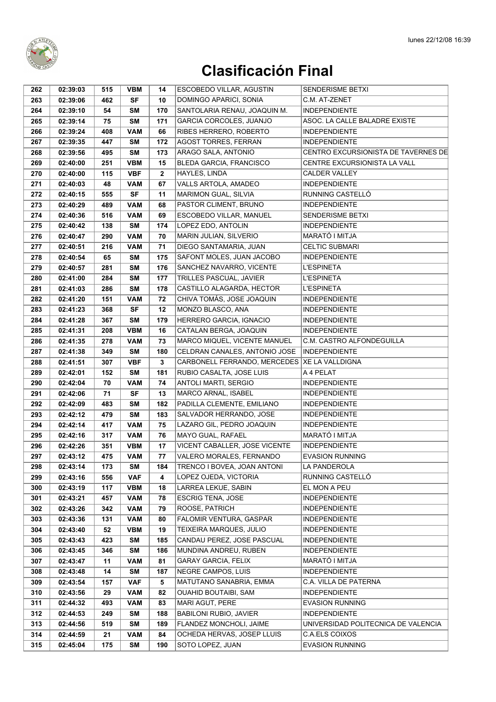

| 262 | 02:39:03 | 515 | <b>VBM</b> | 14           | <b>ESCOBEDO VILLAR, AGUSTIN</b>                | <b>SENDERISME BETXI</b>             |
|-----|----------|-----|------------|--------------|------------------------------------------------|-------------------------------------|
| 263 | 02:39:06 | 462 | <b>SF</b>  | 10           | DOMINGO APARICI, SONIA                         | C.M. AT-ZENET                       |
| 264 | 02:39:10 | 54  | SM         | 170          | SANTOLARIA RENAU, JOAQUIN M.                   | <b>INDEPENDIENTE</b>                |
| 265 | 02:39:14 | 75  | <b>SM</b>  | 171          | GARCIA CORCOLES, JUANJO                        | ASOC. LA CALLE BALADRE EXISTE       |
| 266 | 02:39:24 | 408 | <b>VAM</b> | 66           | RIBES HERRERO, ROBERTO                         | <b>INDEPENDIENTE</b>                |
| 267 | 02:39:35 | 447 | <b>SM</b>  | 172          | <b>AGOST TORRES, FERRAN</b>                    | <b>INDEPENDIENTE</b>                |
| 268 | 02:39:56 | 495 | <b>SM</b>  | 173          | ARAGO SALA, ANTONIO                            | CENTRO EXCURSIONISTA DE TAVERNES DE |
| 269 | 02:40:00 | 251 | <b>VBM</b> | 15           | BLEDA GARCIA, FRANCISCO                        | CENTRE EXCURSIONISTA LA VALL        |
| 270 | 02:40:00 | 115 | <b>VBF</b> | $\mathbf{2}$ | HAYLES, LINDA                                  | <b>CALDER VALLEY</b>                |
| 271 | 02:40:03 | 48  | <b>VAM</b> | 67           | VALLS ARTOLA, AMADEO                           | <b>INDEPENDIENTE</b>                |
| 272 | 02:40:15 | 555 | <b>SF</b>  | 11           | <b>MARIMON GUAL, SILVIA</b>                    | RUNNING CASTELLÓ                    |
| 273 | 02:40:29 | 489 | <b>VAM</b> | 68           | PASTOR CLIMENT, BRUNO                          | <b>INDEPENDIENTE</b>                |
| 274 | 02:40:36 | 516 | <b>VAM</b> | 69           | ESCOBEDO VILLAR, MANUEL                        | SENDERISME BETXI                    |
| 275 | 02:40:42 | 138 | <b>SM</b>  | 174          | LOPEZ EDO, ANTOLIN                             | <b>INDEPENDIENTE</b>                |
| 276 | 02:40:47 | 290 | <b>VAM</b> | 70           | MARIN JULIAN, SILVERIO                         | MARATÓ I MITJA                      |
| 277 | 02:40:51 | 216 | <b>VAM</b> | 71           | DIEGO SANTAMARIA, JUAN                         | <b>CELTIC SUBMARI</b>               |
| 278 | 02:40:54 | 65  | <b>SM</b>  | 175          | SAFONT MOLES, JUAN JACOBO                      | <b>INDEPENDIENTE</b>                |
| 279 | 02:40:57 | 281 | <b>SM</b>  | 176          | SANCHEZ NAVARRO, VICENTE                       | <b>L'ESPINETA</b>                   |
| 280 | 02:41:00 | 284 | <b>SM</b>  | 177          | TRILLES PASCUAL, JAVIER                        | <b>L'ESPINETA</b>                   |
| 281 | 02:41:03 | 286 | <b>SM</b>  | 178          | CASTILLO ALAGARDA, HECTOR                      | <b>L'ESPINETA</b>                   |
|     |          | 151 | <b>VAM</b> | 72           |                                                |                                     |
| 282 | 02:41:20 |     |            |              | CHIVA TOMÁS, JOSE JOAQUIN                      | <b>INDEPENDIENTE</b>                |
| 283 | 02:41:23 | 368 | <b>SF</b>  | 12           | MONZO BLASCO, ANA                              | <b>INDEPENDIENTE</b>                |
| 284 | 02:41:28 | 367 | <b>SM</b>  | 179          | HERRERO GARCIA, IGNACIO                        | <b>INDEPENDIENTE</b>                |
| 285 | 02:41:31 | 208 | <b>VBM</b> | 16           | CATALAN BERGA, JOAQUIN                         | <b>INDEPENDIENTE</b>                |
| 286 | 02:41:35 | 278 | <b>VAM</b> | 73           | MARCO MIQUEL, VICENTE MANUEL                   | C.M. CASTRO ALFONDEGUILLA           |
| 287 | 02:41:38 | 349 | SM         | 180          | CELDRAN CANALES, ANTONIO JOSE                  | <b>INDEPENDIENTE</b>                |
| 288 | 02:41:51 | 307 | <b>VBF</b> | 3            | CARBONELL FERRANDO, MERCEDES   XE LA VALLDIGNA |                                     |
| 289 | 02:42:01 | 152 | SM         | 181          | RUBIO CASALTA, JOSE LUIS                       | A 4 PELAT                           |
| 290 | 02:42:04 | 70  | <b>VAM</b> | 74           | ANTOLI MARTI, SERGIO                           | <b>INDEPENDIENTE</b>                |
| 291 | 02:42:06 | 71  | SF         | 13           | MARCO ARNAL, ISABEL                            | <b>INDEPENDIENTE</b>                |
| 292 | 02:42:09 | 483 | <b>SM</b>  | 182          | PADILLA CLEMENTE, EMILIANO                     | <b>INDEPENDIENTE</b>                |
| 293 | 02:42:12 | 479 | <b>SM</b>  | 183          | SALVADOR HERRANDO, JOSE                        | <b>INDEPENDIENTE</b>                |
| 294 | 02:42:14 | 417 | <b>VAM</b> | 75           | LAZARO GIL, PEDRO JOAQUIN                      | <b>INDEPENDIENTE</b>                |
| 295 | 02:42:16 | 317 | <b>VAM</b> | 76           | MAYO GUAL, RAFAEL                              | MARATÓ I MITJA                      |
| 296 | 02:42:26 | 351 | <b>VBM</b> | 17           | VICENT CABALLER, JOSE VICENTE                  | <b>INDEPENDIENTE</b>                |
| 297 | 02:43:12 | 475 | <b>VAM</b> | 77           | VALERO MORALES, FERNANDO                       | <b>EVASION RUNNING</b>              |
| 298 | 02:43:14 | 173 | SM         | 184          | TRENCO I BOVEA, JOAN ANTONI                    | LA PANDEROLA                        |
| 299 | 02:43:16 | 556 | <b>VAF</b> | 4            | LOPEZ OJEDA, VICTORIA                          | RUNNING CASTELLÓ                    |
| 300 | 02:43:19 | 117 | <b>VBM</b> | 18           | LARREA LEKUE, SABIN                            | EL MON A PEU                        |
| 301 | 02:43:21 | 457 | <b>VAM</b> | 78           | <b>ESCRIG TENA, JOSE</b>                       | INDEPENDIENTE                       |
| 302 | 02:43:26 | 342 | <b>VAM</b> | 79           | ROOSE, PATRICH                                 | <b>INDEPENDIENTE</b>                |
| 303 | 02:43:36 | 131 | <b>VAM</b> | 80           | FALOMIR VENTURA, GASPAR                        | <b>INDEPENDIENTE</b>                |
| 304 | 02:43:40 | 52  | <b>VBM</b> | 19           | TEIXEIRA MARQUES, JULIO                        | <b>INDEPENDIENTE</b>                |
| 305 | 02:43:43 | 423 | SM         | 185          | CANDAU PEREZ. JOSE PASCUAL                     | <b>INDEPENDIENTE</b>                |
| 306 | 02:43:45 | 346 | SM         | 186          | MUNDINA ANDREU, RUBEN                          | <b>INDEPENDIENTE</b>                |
| 307 | 02:43:47 | 11  | <b>VAM</b> | 81           | <b>GARAY GARCIA, FELIX</b>                     | MARATÓ I MITJA                      |
| 308 | 02:43:48 | 14  | SM         | 187          | NEGRE CAMPOS, LUIS                             | <b>INDEPENDIENTE</b>                |
| 309 | 02:43:54 | 157 | <b>VAF</b> | 5            | MATUTANO SANABRIA, EMMA                        | C.A. VILLA DE PATERNA               |
| 310 | 02:43:56 | 29  | <b>VAM</b> | 82           | <b>OUAHID BOUTAIBI, SAM</b>                    | <b>INDEPENDIENTE</b>                |
| 311 | 02:44:32 | 493 | <b>VAM</b> | 83           | MARI AGUT, PERE                                | <b>EVASION RUNNING</b>              |
| 312 | 02:44:53 | 249 | SM         | 188          | <b>BABILONI RUBIO, JAVIER</b>                  | <b>INDEPENDIENTE</b>                |
| 313 | 02:44:56 | 519 | SM         | 189          | FLANDEZ MONCHOLI, JAIME                        | UNIVERSIDAD POLITECNICA DE VALENCIA |
| 314 | 02:44:59 | 21  | <b>VAM</b> | 84           | OCHEDA HERVAS, JOSEP LLUIS                     | C.A.ELS COIXOS                      |
| 315 | 02:45:04 | 175 | SM         | 190          | SOTO LOPEZ, JUAN                               | <b>EVASION RUNNING</b>              |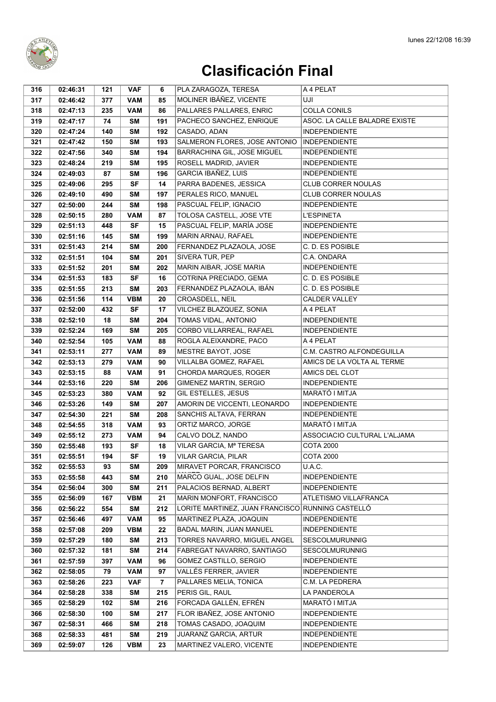

| 316 | 02:46:31 | 121 | <b>VAF</b> | 6              | PLA ZARAGOZA, TERESA                             | A 4 PELAT                     |
|-----|----------|-----|------------|----------------|--------------------------------------------------|-------------------------------|
| 317 | 02:46:42 | 377 | <b>VAM</b> | 85             | MOLINER IBÁÑEZ, VICENTE                          | UJI                           |
| 318 | 02:47:13 | 235 | <b>VAM</b> | 86             | PALLARES PALLARES, ENRIC                         | <b>COLLA CONILS</b>           |
| 319 | 02:47:17 | 74  | SΜ         | 191            | PACHECO SANCHEZ, ENRIQUE                         | ASOC. LA CALLE BALADRE EXISTE |
| 320 | 02:47:24 | 140 | <b>SM</b>  | 192            | CASADO, ADAN                                     | <b>INDEPENDIENTE</b>          |
| 321 | 02:47:42 | 150 | <b>SM</b>  | 193            | SALMERON FLORES, JOSE ANTONIO                    | <b>INDEPENDIENTE</b>          |
| 322 | 02:47:56 | 340 | <b>SM</b>  | 194            | BARRACHINA GIL, JOSE MIGUEL                      | <b>INDEPENDIENTE</b>          |
| 323 | 02:48:24 | 219 | <b>SM</b>  | 195            | ROSELL MADRID, JAVIER                            | <b>INDEPENDIENTE</b>          |
| 324 | 02:49:03 | 87  | SΜ         | 196            | GARCIA IBAÑEZ, LUIS                              | <b>INDEPENDIENTE</b>          |
|     | 02:49:06 | 295 | <b>SF</b>  | 14             | PARRA BADENES, JESSICA                           | <b>CLUB CORRER NOULAS</b>     |
| 325 |          |     |            | 197            | PERALES RICO, MANUEL                             | <b>CLUB CORRER NOULAS</b>     |
| 326 | 02:49:10 | 490 | SΜ         |                |                                                  | <b>INDEPENDIENTE</b>          |
| 327 | 02:50:00 | 244 | <b>SM</b>  | 198            | PASCUAL FELIP, IGNACIO                           |                               |
| 328 | 02:50:15 | 280 | <b>VAM</b> | 87             | TOLOSA CASTELL, JOSE VTE                         | <b>L'ESPINETA</b>             |
| 329 | 02:51:13 | 448 | <b>SF</b>  | 15             | PASCUAL FELIP, MARÍA JOSE                        | <b>INDEPENDIENTE</b>          |
| 330 | 02:51:16 | 145 | SΜ         | 199            | MARIN ARNAU, RAFAEL                              | <b>INDEPENDIENTE</b>          |
| 331 | 02:51:43 | 214 | <b>SM</b>  | 200            | FERNANDEZ PLAZAOLA, JOSE                         | C. D. ES POSIBLE              |
| 332 | 02:51:51 | 104 | SΜ         | 201            | SIVERA TUR, PEP                                  | C.A. ONDARA                   |
| 333 | 02:51:52 | 201 | <b>SM</b>  | 202            | MARIN AIBAR, JOSE MARIA                          | <b>INDEPENDIENTE</b>          |
| 334 | 02:51:53 | 183 | <b>SF</b>  | 16             | COTRINA PRECIADO, GEMA                           | C. D. ES POSIBLE              |
| 335 | 02:51:55 | 213 | <b>SM</b>  | 203            | FERNANDEZ PLAZAOLA, IBÁN                         | C. D. ES POSIBLE              |
| 336 | 02:51:56 | 114 | <b>VBM</b> | 20             | CROASDELL, NEIL                                  | <b>CALDER VALLEY</b>          |
| 337 | 02:52:00 | 432 | <b>SF</b>  | 17             | VILCHEZ BLAZQUEZ, SONIA                          | A 4 PELAT                     |
| 338 | 02:52:10 | 18  | SΜ         | 204            | TOMAS VIDAL, ANTONIO                             | <b>INDEPENDIENTE</b>          |
| 339 | 02:52:24 | 169 | <b>SM</b>  | 205            | CORBO VILLARREAL, RAFAEL                         | <b>INDEPENDIENTE</b>          |
| 340 | 02:52:54 | 105 | <b>VAM</b> | 88             | ROGLA ALEIXANDRE, PACO                           | A 4 PELAT                     |
| 341 | 02:53:11 | 277 | <b>VAM</b> | 89             | MESTRE BAYOT, JOSE                               | C.M. CASTRO ALFONDEGUILLA     |
| 342 | 02:53:13 | 279 | <b>VAM</b> | 90             | VILLALBA GOMEZ, RAFAEL                           | AMICS DE LA VOLTA AL TERME    |
| 343 | 02:53:15 | 88  | <b>VAM</b> | 91             | CHORDA MARQUES, ROGER                            | AMICS DEL CLOT                |
| 344 | 02:53:16 | 220 | <b>SM</b>  | 206            | GIMENEZ MARTIN, SERGIO                           | <b>INDEPENDIENTE</b>          |
| 345 | 02:53:23 | 380 | <b>VAM</b> | 92             | GIL ESTELLES, JESUS                              | MARATÓ I MITJA                |
| 346 | 02:53:26 | 149 | <b>SM</b>  | 207            | AMORIN DE VICCENTI, LEONARDO                     | <b>INDEPENDIENTE</b>          |
| 347 | 02:54:30 | 221 | <b>SM</b>  | 208            | SANCHIS ALTAVA, FERRAN                           | <b>INDEPENDIENTE</b>          |
| 348 | 02:54:55 | 318 | <b>VAM</b> | 93             | ORTIZ MARCO, JORGE                               | MARATÓ I MITJA                |
| 349 | 02:55:12 | 273 | <b>VAM</b> | 94             | CALVO DOLZ, NANDO                                | ASSOCIACIO CULTURAL L'ALJAMA  |
| 350 | 02:55:48 | 193 | <b>SF</b>  | 18             | VILAR GARCIA, Mª TERESA                          | <b>COTA 2000</b>              |
| 351 | 02:55:51 | 194 | SF         | 19             | VILAR GARCIA, PILAR                              | <b>COTA 2000</b>              |
| 352 | 02:55:53 | 93  | SM         | 209            | MIRAVET PORCAR, FRANCISCO                        | U.A.C.                        |
| 353 | 02:55:58 | 443 | <b>SM</b>  | 210            | MARCO GUAL, JOSE DELFIN                          | <b>INDEPENDIENTE</b>          |
| 354 | 02:56:04 | 300 | <b>SM</b>  | 211            | PALACIOS BERNAD, ALBERT                          | <b>INDEPENDIENTE</b>          |
| 355 | 02:56:09 | 167 | <b>VBM</b> | 21             | MARIN MONFORT, FRANCISCO                         | ATLETISMO VILLAFRANCA         |
| 356 | 02:56:22 | 554 | SΜ         | 212            | LORITE MARTINEZ, JUAN FRANCISCO RUNNING CASTELLÓ |                               |
| 357 | 02:56:46 | 497 | <b>VAM</b> | 95             | MARTINEZ PLAZA, JOAQUIN                          | <b>INDEPENDIENTE</b>          |
| 358 | 02:57:08 | 209 | <b>VBM</b> | 22             | BADAL MARIN, JUAN MANUEL                         | <b>INDEPENDIENTE</b>          |
| 359 | 02:57:29 | 180 | <b>SM</b>  | 213            | TORRES NAVARRO, MIGUEL ANGEL                     | <b>SESCOLMURUNNIG</b>         |
| 360 | 02:57:32 | 181 | <b>SM</b>  | 214            | FABREGAT NAVARRO, SANTIAGO                       | <b>SESCOLMURUNNIG</b>         |
| 361 | 02:57:59 | 397 | <b>VAM</b> | 96             | GOMEZ CASTILLO, SERGIO                           | <b>INDEPENDIENTE</b>          |
| 362 | 02:58:05 | 79  | <b>VAM</b> | 97             | VALLÉS FERRER, JAVIER                            | <b>INDEPENDIENTE</b>          |
| 363 | 02:58:26 | 223 | <b>VAF</b> | $\overline{7}$ | PALLARES MELIA, TONICA                           | C.M. LA PEDRERA               |
| 364 | 02:58:28 | 338 | <b>SM</b>  | 215            | PERIS GIL, RAUL                                  | LA PANDEROLA                  |
| 365 | 02:58:29 | 102 | <b>SM</b>  | 216            | FORCADA GALLÉN, EFRÉN                            | MARATÓ I MITJA                |
| 366 | 02:58:30 | 100 | SΜ         | 217            | FLOR IBAÑEZ, JOSE ANTONIO                        | <b>INDEPENDIENTE</b>          |
| 367 | 02:58:31 | 466 | <b>SM</b>  | 218            | TOMAS CASADO, JOAQUIM                            | <b>INDEPENDIENTE</b>          |
| 368 | 02:58:33 | 481 | <b>SM</b>  | 219            | <b>JUARANZ GARCIA, ARTUR</b>                     | <b>INDEPENDIENTE</b>          |
| 369 | 02:59:07 | 126 | <b>VBM</b> | 23             | MARTINEZ VALERO, VICENTE                         | <b>INDEPENDIENTE</b>          |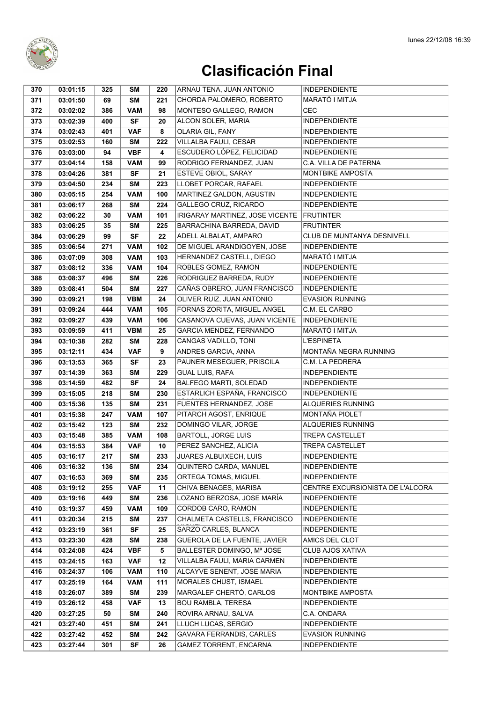

| 371<br>03:01:50<br><b>SM</b><br>221<br>CHORDA PALOMERO, ROBERTO<br>MARATÓ I MITJA<br>69<br>MONTESO GALLEGO, RAMON<br><b>CEC</b><br>03:02:02<br><b>VAM</b><br>98<br>372<br>386<br>373<br>03:02:39<br>SF<br>20<br>ALCON SOLER, MARIA<br><b>INDEPENDIENTE</b><br>400<br>OLARIA GIL, FANY<br><b>INDEPENDIENTE</b><br><b>VAF</b><br>8<br>374<br>03:02:43<br>401<br>VILLALBA FAULI, CESAR<br>160<br>222<br><b>INDEPENDIENTE</b><br>375<br>03:02:53<br>SΜ<br>ESCUDERO LÓPEZ, FELICIDAD<br><b>VBF</b><br>4<br><b>INDEPENDIENTE</b><br>376<br>03:03:00<br>94<br>377<br>RODRIGO FERNANDEZ, JUAN<br>C.A. VILLA DE PATERNA<br>03:04:14<br>158<br><b>VAM</b><br>99<br>ESTEVE OBIOL, SARAY<br><b>MONTBIKE AMPOSTA</b><br>378<br>03:04:26<br>381<br><b>SF</b><br>21<br>LLOBET PORCAR, RAFAEL<br><b>INDEPENDIENTE</b><br><b>SM</b><br>223<br>379<br>03:04:50<br>234<br>MARTINEZ GALDON, AGUSTIN<br>254<br><b>VAM</b><br>100<br><b>INDEPENDIENTE</b><br>380<br>03:05:15<br>GALLEGO CRUZ, RICARDO<br><b>INDEPENDIENTE</b><br>03:06:17<br><b>SM</b><br>224<br>381<br>268<br>101<br>03:06:22<br><b>VAM</b><br>IRIGARAY MARTINEZ, JOSE VICENTE<br><b>FRUTINTER</b><br>382<br>30<br>383<br>03:06:25<br>225<br>BARRACHINA BARREDA, DAVID<br><b>FRUTINTER</b><br>35<br>SΜ<br>ADELL ALBALAT, AMPARO<br>CLUB DE MUNTANYA DESNIVELL<br><b>SF</b><br>22<br>384<br>03:06:29<br>99<br>DE MIGUEL ARANDIGOYEN, JOSE<br><b>INDEPENDIENTE</b><br><b>VAM</b><br>102<br>385<br>03:06:54<br>271<br>HERNANDEZ CASTELL, DIEGO<br>386<br><b>VAM</b><br>103<br>MARATÓ I MITJA<br>03:07:09<br>308<br>ROBLES GOMEZ, RAMON<br>336<br><b>VAM</b><br>104<br><b>INDEPENDIENTE</b><br>387<br>03:08:12<br>388<br>496<br><b>SM</b><br>226<br>RODRIGUEZ BARREDA, RUDY<br>03:08:37<br><b>INDEPENDIENTE</b><br>CAÑAS OBRERO, JUAN FRANCISCO<br><b>SM</b><br>227<br><b>INDEPENDIENTE</b><br>389<br>03:08:41<br>504<br><b>VBM</b><br>OLIVER RUIZ, JUAN ANTONIO<br><b>EVASION RUNNING</b><br>390<br>03:09:21<br>198<br>24<br>FORNAS ZORITA, MIGUEL ANGEL<br>C.M. EL CARBO<br>391<br>444<br><b>VAM</b><br>105<br>03:09:24<br>392<br><b>VAM</b><br>106<br>CASANOVA CUEVAS. JUAN VICENTE<br><b>INDEPENDIENTE</b><br>03:09:27<br>439<br>GARCIA MENDEZ, FERNANDO<br>MARATÓ I MITJA<br>393<br>03:09:59<br><b>VBM</b><br>25<br>411<br>394<br>03:10:38<br>282<br><b>SM</b><br>228<br>CANGAS VADILLO, TONI<br><b>L'ESPINETA</b><br>MONTAÑA NEGRA RUNNING<br>9<br>ANDRES GARCIA, ANNA<br><b>VAF</b><br>395<br>03:12:11<br>434<br>SF<br>23<br>PAUNER MESEGUER, PRISCILA<br>396<br>03:13:53<br>365<br>C.M. LA PEDRERA<br><b>GUAL LUIS, RAFA</b><br>229<br><b>INDEPENDIENTE</b><br>397<br>03:14:39<br>363<br>SΜ<br><b>SF</b><br>24<br>BALFEGO MARTI, SOLEDAD<br>398<br>03:14:59<br>482<br><b>INDEPENDIENTE</b><br>ESTARLICH ESPAÑA, FRANCISCO<br>399<br>218<br><b>SM</b><br>230<br><b>INDEPENDIENTE</b><br>03:15:05<br>FUENTES HERNANDEZ, JOSE<br>ALQUERIES RUNNING<br>03:15:36<br>135<br><b>SM</b><br>231<br>400<br>MONTAÑA PIOLET<br><b>VAM</b><br>107<br>PITARCH AGOST, ENRIQUE<br>401<br>03:15:38<br>247<br>123<br><b>SM</b><br>232<br>DOMINGO VILAR, JORGE<br>ALQUERIES RUNNING<br>402<br>03:15:42<br><b>TREPA CASTELLET</b><br>03:15:48<br><b>VAM</b><br>108<br><b>BARTOLL, JORGE LUIS</b><br>403<br>385<br>PEREZ SANCHEZ, ALICIA<br><b>TREPA CASTELLET</b><br><b>VAF</b><br>10<br>404<br>03:15:53<br>384<br>217<br>SM<br>233<br><b>JUARES ALBUIXECH, LUIS</b><br>405<br>03:16:17<br><b>INDEPENDIENTE</b><br>QUINTERO CARDA, MANUEL<br>03:16:32<br>234<br><b>INDEPENDIENTE</b><br>406<br>136<br>SM<br>ORTEGA TOMAS, MIGUEL<br>407<br>03:16:53<br>369<br><b>SM</b><br>235<br><b>INDEPENDIENTE</b><br>11<br>CHIVA BENAGES, MARISA<br>CENTRE EXCURSIONISTA DE L'ALCORA<br>408<br>03:19:12<br>255<br><b>VAF</b><br>236<br>LOZANO BERZOSA, JOSE MARÍA<br>409<br>03:19:16<br>449<br>SM<br><b>INDEPENDIENTE</b><br>109<br>CORDOB CARO, RAMON<br><b>INDEPENDIENTE</b><br>410<br>03:19:37<br>459<br><b>VAM</b><br>411<br>03:20:34<br>215<br>SΜ<br>237<br>CHALMETA CASTELLS, FRANCISCO<br><b>INDEPENDIENTE</b><br>412<br><b>SF</b><br>25<br>SARZO CARLES, BLANCA<br><b>INDEPENDIENTE</b><br>03:23:19<br>361<br>413<br>GUEROLA DE LA FUENTE, JAVIER<br>03:23:30<br>428<br><b>SM</b><br>238<br>AMICS DEL CLOT<br><b>VBF</b><br>5<br>BALLESTER DOMINGO, Mª JOSE<br><b>CLUB AJOS XATIVA</b><br>414<br>03:24:08<br>424 | 370 | 03:01:15 | 325 | SΜ | 220 | ARNAU TENA, JUAN ANTONIO | <b>INDEPENDIENTE</b> |
|------------------------------------------------------------------------------------------------------------------------------------------------------------------------------------------------------------------------------------------------------------------------------------------------------------------------------------------------------------------------------------------------------------------------------------------------------------------------------------------------------------------------------------------------------------------------------------------------------------------------------------------------------------------------------------------------------------------------------------------------------------------------------------------------------------------------------------------------------------------------------------------------------------------------------------------------------------------------------------------------------------------------------------------------------------------------------------------------------------------------------------------------------------------------------------------------------------------------------------------------------------------------------------------------------------------------------------------------------------------------------------------------------------------------------------------------------------------------------------------------------------------------------------------------------------------------------------------------------------------------------------------------------------------------------------------------------------------------------------------------------------------------------------------------------------------------------------------------------------------------------------------------------------------------------------------------------------------------------------------------------------------------------------------------------------------------------------------------------------------------------------------------------------------------------------------------------------------------------------------------------------------------------------------------------------------------------------------------------------------------------------------------------------------------------------------------------------------------------------------------------------------------------------------------------------------------------------------------------------------------------------------------------------------------------------------------------------------------------------------------------------------------------------------------------------------------------------------------------------------------------------------------------------------------------------------------------------------------------------------------------------------------------------------------------------------------------------------------------------------------------------------------------------------------------------------------------------------------------------------------------------------------------------------------------------------------------------------------------------------------------------------------------------------------------------------------------------------------------------------------------------------------------------------------------------------------------------------------------------------------------------------------------------------------------------------------------------------------------------------------------------------------------------------------------------------------------------------------------------------------------------------------------------------------------------------------------------------------------------------------------------------------------------------------------------------------------------------------------------------------------------------------------------------------------------------------------------------------------------------------------------------------------------------------------------------------------------------|-----|----------|-----|----|-----|--------------------------|----------------------|
|                                                                                                                                                                                                                                                                                                                                                                                                                                                                                                                                                                                                                                                                                                                                                                                                                                                                                                                                                                                                                                                                                                                                                                                                                                                                                                                                                                                                                                                                                                                                                                                                                                                                                                                                                                                                                                                                                                                                                                                                                                                                                                                                                                                                                                                                                                                                                                                                                                                                                                                                                                                                                                                                                                                                                                                                                                                                                                                                                                                                                                                                                                                                                                                                                                                                                                                                                                                                                                                                                                                                                                                                                                                                                                                                                                                                                                                                                                                                                                                                                                                                                                                                                                                                                                                                                                                                          |     |          |     |    |     |                          |                      |
|                                                                                                                                                                                                                                                                                                                                                                                                                                                                                                                                                                                                                                                                                                                                                                                                                                                                                                                                                                                                                                                                                                                                                                                                                                                                                                                                                                                                                                                                                                                                                                                                                                                                                                                                                                                                                                                                                                                                                                                                                                                                                                                                                                                                                                                                                                                                                                                                                                                                                                                                                                                                                                                                                                                                                                                                                                                                                                                                                                                                                                                                                                                                                                                                                                                                                                                                                                                                                                                                                                                                                                                                                                                                                                                                                                                                                                                                                                                                                                                                                                                                                                                                                                                                                                                                                                                                          |     |          |     |    |     |                          |                      |
|                                                                                                                                                                                                                                                                                                                                                                                                                                                                                                                                                                                                                                                                                                                                                                                                                                                                                                                                                                                                                                                                                                                                                                                                                                                                                                                                                                                                                                                                                                                                                                                                                                                                                                                                                                                                                                                                                                                                                                                                                                                                                                                                                                                                                                                                                                                                                                                                                                                                                                                                                                                                                                                                                                                                                                                                                                                                                                                                                                                                                                                                                                                                                                                                                                                                                                                                                                                                                                                                                                                                                                                                                                                                                                                                                                                                                                                                                                                                                                                                                                                                                                                                                                                                                                                                                                                                          |     |          |     |    |     |                          |                      |
|                                                                                                                                                                                                                                                                                                                                                                                                                                                                                                                                                                                                                                                                                                                                                                                                                                                                                                                                                                                                                                                                                                                                                                                                                                                                                                                                                                                                                                                                                                                                                                                                                                                                                                                                                                                                                                                                                                                                                                                                                                                                                                                                                                                                                                                                                                                                                                                                                                                                                                                                                                                                                                                                                                                                                                                                                                                                                                                                                                                                                                                                                                                                                                                                                                                                                                                                                                                                                                                                                                                                                                                                                                                                                                                                                                                                                                                                                                                                                                                                                                                                                                                                                                                                                                                                                                                                          |     |          |     |    |     |                          |                      |
|                                                                                                                                                                                                                                                                                                                                                                                                                                                                                                                                                                                                                                                                                                                                                                                                                                                                                                                                                                                                                                                                                                                                                                                                                                                                                                                                                                                                                                                                                                                                                                                                                                                                                                                                                                                                                                                                                                                                                                                                                                                                                                                                                                                                                                                                                                                                                                                                                                                                                                                                                                                                                                                                                                                                                                                                                                                                                                                                                                                                                                                                                                                                                                                                                                                                                                                                                                                                                                                                                                                                                                                                                                                                                                                                                                                                                                                                                                                                                                                                                                                                                                                                                                                                                                                                                                                                          |     |          |     |    |     |                          |                      |
|                                                                                                                                                                                                                                                                                                                                                                                                                                                                                                                                                                                                                                                                                                                                                                                                                                                                                                                                                                                                                                                                                                                                                                                                                                                                                                                                                                                                                                                                                                                                                                                                                                                                                                                                                                                                                                                                                                                                                                                                                                                                                                                                                                                                                                                                                                                                                                                                                                                                                                                                                                                                                                                                                                                                                                                                                                                                                                                                                                                                                                                                                                                                                                                                                                                                                                                                                                                                                                                                                                                                                                                                                                                                                                                                                                                                                                                                                                                                                                                                                                                                                                                                                                                                                                                                                                                                          |     |          |     |    |     |                          |                      |
|                                                                                                                                                                                                                                                                                                                                                                                                                                                                                                                                                                                                                                                                                                                                                                                                                                                                                                                                                                                                                                                                                                                                                                                                                                                                                                                                                                                                                                                                                                                                                                                                                                                                                                                                                                                                                                                                                                                                                                                                                                                                                                                                                                                                                                                                                                                                                                                                                                                                                                                                                                                                                                                                                                                                                                                                                                                                                                                                                                                                                                                                                                                                                                                                                                                                                                                                                                                                                                                                                                                                                                                                                                                                                                                                                                                                                                                                                                                                                                                                                                                                                                                                                                                                                                                                                                                                          |     |          |     |    |     |                          |                      |
|                                                                                                                                                                                                                                                                                                                                                                                                                                                                                                                                                                                                                                                                                                                                                                                                                                                                                                                                                                                                                                                                                                                                                                                                                                                                                                                                                                                                                                                                                                                                                                                                                                                                                                                                                                                                                                                                                                                                                                                                                                                                                                                                                                                                                                                                                                                                                                                                                                                                                                                                                                                                                                                                                                                                                                                                                                                                                                                                                                                                                                                                                                                                                                                                                                                                                                                                                                                                                                                                                                                                                                                                                                                                                                                                                                                                                                                                                                                                                                                                                                                                                                                                                                                                                                                                                                                                          |     |          |     |    |     |                          |                      |
|                                                                                                                                                                                                                                                                                                                                                                                                                                                                                                                                                                                                                                                                                                                                                                                                                                                                                                                                                                                                                                                                                                                                                                                                                                                                                                                                                                                                                                                                                                                                                                                                                                                                                                                                                                                                                                                                                                                                                                                                                                                                                                                                                                                                                                                                                                                                                                                                                                                                                                                                                                                                                                                                                                                                                                                                                                                                                                                                                                                                                                                                                                                                                                                                                                                                                                                                                                                                                                                                                                                                                                                                                                                                                                                                                                                                                                                                                                                                                                                                                                                                                                                                                                                                                                                                                                                                          |     |          |     |    |     |                          |                      |
|                                                                                                                                                                                                                                                                                                                                                                                                                                                                                                                                                                                                                                                                                                                                                                                                                                                                                                                                                                                                                                                                                                                                                                                                                                                                                                                                                                                                                                                                                                                                                                                                                                                                                                                                                                                                                                                                                                                                                                                                                                                                                                                                                                                                                                                                                                                                                                                                                                                                                                                                                                                                                                                                                                                                                                                                                                                                                                                                                                                                                                                                                                                                                                                                                                                                                                                                                                                                                                                                                                                                                                                                                                                                                                                                                                                                                                                                                                                                                                                                                                                                                                                                                                                                                                                                                                                                          |     |          |     |    |     |                          |                      |
|                                                                                                                                                                                                                                                                                                                                                                                                                                                                                                                                                                                                                                                                                                                                                                                                                                                                                                                                                                                                                                                                                                                                                                                                                                                                                                                                                                                                                                                                                                                                                                                                                                                                                                                                                                                                                                                                                                                                                                                                                                                                                                                                                                                                                                                                                                                                                                                                                                                                                                                                                                                                                                                                                                                                                                                                                                                                                                                                                                                                                                                                                                                                                                                                                                                                                                                                                                                                                                                                                                                                                                                                                                                                                                                                                                                                                                                                                                                                                                                                                                                                                                                                                                                                                                                                                                                                          |     |          |     |    |     |                          |                      |
|                                                                                                                                                                                                                                                                                                                                                                                                                                                                                                                                                                                                                                                                                                                                                                                                                                                                                                                                                                                                                                                                                                                                                                                                                                                                                                                                                                                                                                                                                                                                                                                                                                                                                                                                                                                                                                                                                                                                                                                                                                                                                                                                                                                                                                                                                                                                                                                                                                                                                                                                                                                                                                                                                                                                                                                                                                                                                                                                                                                                                                                                                                                                                                                                                                                                                                                                                                                                                                                                                                                                                                                                                                                                                                                                                                                                                                                                                                                                                                                                                                                                                                                                                                                                                                                                                                                                          |     |          |     |    |     |                          |                      |
|                                                                                                                                                                                                                                                                                                                                                                                                                                                                                                                                                                                                                                                                                                                                                                                                                                                                                                                                                                                                                                                                                                                                                                                                                                                                                                                                                                                                                                                                                                                                                                                                                                                                                                                                                                                                                                                                                                                                                                                                                                                                                                                                                                                                                                                                                                                                                                                                                                                                                                                                                                                                                                                                                                                                                                                                                                                                                                                                                                                                                                                                                                                                                                                                                                                                                                                                                                                                                                                                                                                                                                                                                                                                                                                                                                                                                                                                                                                                                                                                                                                                                                                                                                                                                                                                                                                                          |     |          |     |    |     |                          |                      |
|                                                                                                                                                                                                                                                                                                                                                                                                                                                                                                                                                                                                                                                                                                                                                                                                                                                                                                                                                                                                                                                                                                                                                                                                                                                                                                                                                                                                                                                                                                                                                                                                                                                                                                                                                                                                                                                                                                                                                                                                                                                                                                                                                                                                                                                                                                                                                                                                                                                                                                                                                                                                                                                                                                                                                                                                                                                                                                                                                                                                                                                                                                                                                                                                                                                                                                                                                                                                                                                                                                                                                                                                                                                                                                                                                                                                                                                                                                                                                                                                                                                                                                                                                                                                                                                                                                                                          |     |          |     |    |     |                          |                      |
|                                                                                                                                                                                                                                                                                                                                                                                                                                                                                                                                                                                                                                                                                                                                                                                                                                                                                                                                                                                                                                                                                                                                                                                                                                                                                                                                                                                                                                                                                                                                                                                                                                                                                                                                                                                                                                                                                                                                                                                                                                                                                                                                                                                                                                                                                                                                                                                                                                                                                                                                                                                                                                                                                                                                                                                                                                                                                                                                                                                                                                                                                                                                                                                                                                                                                                                                                                                                                                                                                                                                                                                                                                                                                                                                                                                                                                                                                                                                                                                                                                                                                                                                                                                                                                                                                                                                          |     |          |     |    |     |                          |                      |
|                                                                                                                                                                                                                                                                                                                                                                                                                                                                                                                                                                                                                                                                                                                                                                                                                                                                                                                                                                                                                                                                                                                                                                                                                                                                                                                                                                                                                                                                                                                                                                                                                                                                                                                                                                                                                                                                                                                                                                                                                                                                                                                                                                                                                                                                                                                                                                                                                                                                                                                                                                                                                                                                                                                                                                                                                                                                                                                                                                                                                                                                                                                                                                                                                                                                                                                                                                                                                                                                                                                                                                                                                                                                                                                                                                                                                                                                                                                                                                                                                                                                                                                                                                                                                                                                                                                                          |     |          |     |    |     |                          |                      |
|                                                                                                                                                                                                                                                                                                                                                                                                                                                                                                                                                                                                                                                                                                                                                                                                                                                                                                                                                                                                                                                                                                                                                                                                                                                                                                                                                                                                                                                                                                                                                                                                                                                                                                                                                                                                                                                                                                                                                                                                                                                                                                                                                                                                                                                                                                                                                                                                                                                                                                                                                                                                                                                                                                                                                                                                                                                                                                                                                                                                                                                                                                                                                                                                                                                                                                                                                                                                                                                                                                                                                                                                                                                                                                                                                                                                                                                                                                                                                                                                                                                                                                                                                                                                                                                                                                                                          |     |          |     |    |     |                          |                      |
|                                                                                                                                                                                                                                                                                                                                                                                                                                                                                                                                                                                                                                                                                                                                                                                                                                                                                                                                                                                                                                                                                                                                                                                                                                                                                                                                                                                                                                                                                                                                                                                                                                                                                                                                                                                                                                                                                                                                                                                                                                                                                                                                                                                                                                                                                                                                                                                                                                                                                                                                                                                                                                                                                                                                                                                                                                                                                                                                                                                                                                                                                                                                                                                                                                                                                                                                                                                                                                                                                                                                                                                                                                                                                                                                                                                                                                                                                                                                                                                                                                                                                                                                                                                                                                                                                                                                          |     |          |     |    |     |                          |                      |
|                                                                                                                                                                                                                                                                                                                                                                                                                                                                                                                                                                                                                                                                                                                                                                                                                                                                                                                                                                                                                                                                                                                                                                                                                                                                                                                                                                                                                                                                                                                                                                                                                                                                                                                                                                                                                                                                                                                                                                                                                                                                                                                                                                                                                                                                                                                                                                                                                                                                                                                                                                                                                                                                                                                                                                                                                                                                                                                                                                                                                                                                                                                                                                                                                                                                                                                                                                                                                                                                                                                                                                                                                                                                                                                                                                                                                                                                                                                                                                                                                                                                                                                                                                                                                                                                                                                                          |     |          |     |    |     |                          |                      |
|                                                                                                                                                                                                                                                                                                                                                                                                                                                                                                                                                                                                                                                                                                                                                                                                                                                                                                                                                                                                                                                                                                                                                                                                                                                                                                                                                                                                                                                                                                                                                                                                                                                                                                                                                                                                                                                                                                                                                                                                                                                                                                                                                                                                                                                                                                                                                                                                                                                                                                                                                                                                                                                                                                                                                                                                                                                                                                                                                                                                                                                                                                                                                                                                                                                                                                                                                                                                                                                                                                                                                                                                                                                                                                                                                                                                                                                                                                                                                                                                                                                                                                                                                                                                                                                                                                                                          |     |          |     |    |     |                          |                      |
|                                                                                                                                                                                                                                                                                                                                                                                                                                                                                                                                                                                                                                                                                                                                                                                                                                                                                                                                                                                                                                                                                                                                                                                                                                                                                                                                                                                                                                                                                                                                                                                                                                                                                                                                                                                                                                                                                                                                                                                                                                                                                                                                                                                                                                                                                                                                                                                                                                                                                                                                                                                                                                                                                                                                                                                                                                                                                                                                                                                                                                                                                                                                                                                                                                                                                                                                                                                                                                                                                                                                                                                                                                                                                                                                                                                                                                                                                                                                                                                                                                                                                                                                                                                                                                                                                                                                          |     |          |     |    |     |                          |                      |
|                                                                                                                                                                                                                                                                                                                                                                                                                                                                                                                                                                                                                                                                                                                                                                                                                                                                                                                                                                                                                                                                                                                                                                                                                                                                                                                                                                                                                                                                                                                                                                                                                                                                                                                                                                                                                                                                                                                                                                                                                                                                                                                                                                                                                                                                                                                                                                                                                                                                                                                                                                                                                                                                                                                                                                                                                                                                                                                                                                                                                                                                                                                                                                                                                                                                                                                                                                                                                                                                                                                                                                                                                                                                                                                                                                                                                                                                                                                                                                                                                                                                                                                                                                                                                                                                                                                                          |     |          |     |    |     |                          |                      |
|                                                                                                                                                                                                                                                                                                                                                                                                                                                                                                                                                                                                                                                                                                                                                                                                                                                                                                                                                                                                                                                                                                                                                                                                                                                                                                                                                                                                                                                                                                                                                                                                                                                                                                                                                                                                                                                                                                                                                                                                                                                                                                                                                                                                                                                                                                                                                                                                                                                                                                                                                                                                                                                                                                                                                                                                                                                                                                                                                                                                                                                                                                                                                                                                                                                                                                                                                                                                                                                                                                                                                                                                                                                                                                                                                                                                                                                                                                                                                                                                                                                                                                                                                                                                                                                                                                                                          |     |          |     |    |     |                          |                      |
|                                                                                                                                                                                                                                                                                                                                                                                                                                                                                                                                                                                                                                                                                                                                                                                                                                                                                                                                                                                                                                                                                                                                                                                                                                                                                                                                                                                                                                                                                                                                                                                                                                                                                                                                                                                                                                                                                                                                                                                                                                                                                                                                                                                                                                                                                                                                                                                                                                                                                                                                                                                                                                                                                                                                                                                                                                                                                                                                                                                                                                                                                                                                                                                                                                                                                                                                                                                                                                                                                                                                                                                                                                                                                                                                                                                                                                                                                                                                                                                                                                                                                                                                                                                                                                                                                                                                          |     |          |     |    |     |                          |                      |
|                                                                                                                                                                                                                                                                                                                                                                                                                                                                                                                                                                                                                                                                                                                                                                                                                                                                                                                                                                                                                                                                                                                                                                                                                                                                                                                                                                                                                                                                                                                                                                                                                                                                                                                                                                                                                                                                                                                                                                                                                                                                                                                                                                                                                                                                                                                                                                                                                                                                                                                                                                                                                                                                                                                                                                                                                                                                                                                                                                                                                                                                                                                                                                                                                                                                                                                                                                                                                                                                                                                                                                                                                                                                                                                                                                                                                                                                                                                                                                                                                                                                                                                                                                                                                                                                                                                                          |     |          |     |    |     |                          |                      |
|                                                                                                                                                                                                                                                                                                                                                                                                                                                                                                                                                                                                                                                                                                                                                                                                                                                                                                                                                                                                                                                                                                                                                                                                                                                                                                                                                                                                                                                                                                                                                                                                                                                                                                                                                                                                                                                                                                                                                                                                                                                                                                                                                                                                                                                                                                                                                                                                                                                                                                                                                                                                                                                                                                                                                                                                                                                                                                                                                                                                                                                                                                                                                                                                                                                                                                                                                                                                                                                                                                                                                                                                                                                                                                                                                                                                                                                                                                                                                                                                                                                                                                                                                                                                                                                                                                                                          |     |          |     |    |     |                          |                      |
|                                                                                                                                                                                                                                                                                                                                                                                                                                                                                                                                                                                                                                                                                                                                                                                                                                                                                                                                                                                                                                                                                                                                                                                                                                                                                                                                                                                                                                                                                                                                                                                                                                                                                                                                                                                                                                                                                                                                                                                                                                                                                                                                                                                                                                                                                                                                                                                                                                                                                                                                                                                                                                                                                                                                                                                                                                                                                                                                                                                                                                                                                                                                                                                                                                                                                                                                                                                                                                                                                                                                                                                                                                                                                                                                                                                                                                                                                                                                                                                                                                                                                                                                                                                                                                                                                                                                          |     |          |     |    |     |                          |                      |
|                                                                                                                                                                                                                                                                                                                                                                                                                                                                                                                                                                                                                                                                                                                                                                                                                                                                                                                                                                                                                                                                                                                                                                                                                                                                                                                                                                                                                                                                                                                                                                                                                                                                                                                                                                                                                                                                                                                                                                                                                                                                                                                                                                                                                                                                                                                                                                                                                                                                                                                                                                                                                                                                                                                                                                                                                                                                                                                                                                                                                                                                                                                                                                                                                                                                                                                                                                                                                                                                                                                                                                                                                                                                                                                                                                                                                                                                                                                                                                                                                                                                                                                                                                                                                                                                                                                                          |     |          |     |    |     |                          |                      |
|                                                                                                                                                                                                                                                                                                                                                                                                                                                                                                                                                                                                                                                                                                                                                                                                                                                                                                                                                                                                                                                                                                                                                                                                                                                                                                                                                                                                                                                                                                                                                                                                                                                                                                                                                                                                                                                                                                                                                                                                                                                                                                                                                                                                                                                                                                                                                                                                                                                                                                                                                                                                                                                                                                                                                                                                                                                                                                                                                                                                                                                                                                                                                                                                                                                                                                                                                                                                                                                                                                                                                                                                                                                                                                                                                                                                                                                                                                                                                                                                                                                                                                                                                                                                                                                                                                                                          |     |          |     |    |     |                          |                      |
|                                                                                                                                                                                                                                                                                                                                                                                                                                                                                                                                                                                                                                                                                                                                                                                                                                                                                                                                                                                                                                                                                                                                                                                                                                                                                                                                                                                                                                                                                                                                                                                                                                                                                                                                                                                                                                                                                                                                                                                                                                                                                                                                                                                                                                                                                                                                                                                                                                                                                                                                                                                                                                                                                                                                                                                                                                                                                                                                                                                                                                                                                                                                                                                                                                                                                                                                                                                                                                                                                                                                                                                                                                                                                                                                                                                                                                                                                                                                                                                                                                                                                                                                                                                                                                                                                                                                          |     |          |     |    |     |                          |                      |
|                                                                                                                                                                                                                                                                                                                                                                                                                                                                                                                                                                                                                                                                                                                                                                                                                                                                                                                                                                                                                                                                                                                                                                                                                                                                                                                                                                                                                                                                                                                                                                                                                                                                                                                                                                                                                                                                                                                                                                                                                                                                                                                                                                                                                                                                                                                                                                                                                                                                                                                                                                                                                                                                                                                                                                                                                                                                                                                                                                                                                                                                                                                                                                                                                                                                                                                                                                                                                                                                                                                                                                                                                                                                                                                                                                                                                                                                                                                                                                                                                                                                                                                                                                                                                                                                                                                                          |     |          |     |    |     |                          |                      |
|                                                                                                                                                                                                                                                                                                                                                                                                                                                                                                                                                                                                                                                                                                                                                                                                                                                                                                                                                                                                                                                                                                                                                                                                                                                                                                                                                                                                                                                                                                                                                                                                                                                                                                                                                                                                                                                                                                                                                                                                                                                                                                                                                                                                                                                                                                                                                                                                                                                                                                                                                                                                                                                                                                                                                                                                                                                                                                                                                                                                                                                                                                                                                                                                                                                                                                                                                                                                                                                                                                                                                                                                                                                                                                                                                                                                                                                                                                                                                                                                                                                                                                                                                                                                                                                                                                                                          |     |          |     |    |     |                          |                      |
|                                                                                                                                                                                                                                                                                                                                                                                                                                                                                                                                                                                                                                                                                                                                                                                                                                                                                                                                                                                                                                                                                                                                                                                                                                                                                                                                                                                                                                                                                                                                                                                                                                                                                                                                                                                                                                                                                                                                                                                                                                                                                                                                                                                                                                                                                                                                                                                                                                                                                                                                                                                                                                                                                                                                                                                                                                                                                                                                                                                                                                                                                                                                                                                                                                                                                                                                                                                                                                                                                                                                                                                                                                                                                                                                                                                                                                                                                                                                                                                                                                                                                                                                                                                                                                                                                                                                          |     |          |     |    |     |                          |                      |
|                                                                                                                                                                                                                                                                                                                                                                                                                                                                                                                                                                                                                                                                                                                                                                                                                                                                                                                                                                                                                                                                                                                                                                                                                                                                                                                                                                                                                                                                                                                                                                                                                                                                                                                                                                                                                                                                                                                                                                                                                                                                                                                                                                                                                                                                                                                                                                                                                                                                                                                                                                                                                                                                                                                                                                                                                                                                                                                                                                                                                                                                                                                                                                                                                                                                                                                                                                                                                                                                                                                                                                                                                                                                                                                                                                                                                                                                                                                                                                                                                                                                                                                                                                                                                                                                                                                                          |     |          |     |    |     |                          |                      |
|                                                                                                                                                                                                                                                                                                                                                                                                                                                                                                                                                                                                                                                                                                                                                                                                                                                                                                                                                                                                                                                                                                                                                                                                                                                                                                                                                                                                                                                                                                                                                                                                                                                                                                                                                                                                                                                                                                                                                                                                                                                                                                                                                                                                                                                                                                                                                                                                                                                                                                                                                                                                                                                                                                                                                                                                                                                                                                                                                                                                                                                                                                                                                                                                                                                                                                                                                                                                                                                                                                                                                                                                                                                                                                                                                                                                                                                                                                                                                                                                                                                                                                                                                                                                                                                                                                                                          |     |          |     |    |     |                          |                      |
|                                                                                                                                                                                                                                                                                                                                                                                                                                                                                                                                                                                                                                                                                                                                                                                                                                                                                                                                                                                                                                                                                                                                                                                                                                                                                                                                                                                                                                                                                                                                                                                                                                                                                                                                                                                                                                                                                                                                                                                                                                                                                                                                                                                                                                                                                                                                                                                                                                                                                                                                                                                                                                                                                                                                                                                                                                                                                                                                                                                                                                                                                                                                                                                                                                                                                                                                                                                                                                                                                                                                                                                                                                                                                                                                                                                                                                                                                                                                                                                                                                                                                                                                                                                                                                                                                                                                          |     |          |     |    |     |                          |                      |
|                                                                                                                                                                                                                                                                                                                                                                                                                                                                                                                                                                                                                                                                                                                                                                                                                                                                                                                                                                                                                                                                                                                                                                                                                                                                                                                                                                                                                                                                                                                                                                                                                                                                                                                                                                                                                                                                                                                                                                                                                                                                                                                                                                                                                                                                                                                                                                                                                                                                                                                                                                                                                                                                                                                                                                                                                                                                                                                                                                                                                                                                                                                                                                                                                                                                                                                                                                                                                                                                                                                                                                                                                                                                                                                                                                                                                                                                                                                                                                                                                                                                                                                                                                                                                                                                                                                                          |     |          |     |    |     |                          |                      |
|                                                                                                                                                                                                                                                                                                                                                                                                                                                                                                                                                                                                                                                                                                                                                                                                                                                                                                                                                                                                                                                                                                                                                                                                                                                                                                                                                                                                                                                                                                                                                                                                                                                                                                                                                                                                                                                                                                                                                                                                                                                                                                                                                                                                                                                                                                                                                                                                                                                                                                                                                                                                                                                                                                                                                                                                                                                                                                                                                                                                                                                                                                                                                                                                                                                                                                                                                                                                                                                                                                                                                                                                                                                                                                                                                                                                                                                                                                                                                                                                                                                                                                                                                                                                                                                                                                                                          |     |          |     |    |     |                          |                      |
|                                                                                                                                                                                                                                                                                                                                                                                                                                                                                                                                                                                                                                                                                                                                                                                                                                                                                                                                                                                                                                                                                                                                                                                                                                                                                                                                                                                                                                                                                                                                                                                                                                                                                                                                                                                                                                                                                                                                                                                                                                                                                                                                                                                                                                                                                                                                                                                                                                                                                                                                                                                                                                                                                                                                                                                                                                                                                                                                                                                                                                                                                                                                                                                                                                                                                                                                                                                                                                                                                                                                                                                                                                                                                                                                                                                                                                                                                                                                                                                                                                                                                                                                                                                                                                                                                                                                          |     |          |     |    |     |                          |                      |
|                                                                                                                                                                                                                                                                                                                                                                                                                                                                                                                                                                                                                                                                                                                                                                                                                                                                                                                                                                                                                                                                                                                                                                                                                                                                                                                                                                                                                                                                                                                                                                                                                                                                                                                                                                                                                                                                                                                                                                                                                                                                                                                                                                                                                                                                                                                                                                                                                                                                                                                                                                                                                                                                                                                                                                                                                                                                                                                                                                                                                                                                                                                                                                                                                                                                                                                                                                                                                                                                                                                                                                                                                                                                                                                                                                                                                                                                                                                                                                                                                                                                                                                                                                                                                                                                                                                                          |     |          |     |    |     |                          |                      |
|                                                                                                                                                                                                                                                                                                                                                                                                                                                                                                                                                                                                                                                                                                                                                                                                                                                                                                                                                                                                                                                                                                                                                                                                                                                                                                                                                                                                                                                                                                                                                                                                                                                                                                                                                                                                                                                                                                                                                                                                                                                                                                                                                                                                                                                                                                                                                                                                                                                                                                                                                                                                                                                                                                                                                                                                                                                                                                                                                                                                                                                                                                                                                                                                                                                                                                                                                                                                                                                                                                                                                                                                                                                                                                                                                                                                                                                                                                                                                                                                                                                                                                                                                                                                                                                                                                                                          |     |          |     |    |     |                          |                      |
|                                                                                                                                                                                                                                                                                                                                                                                                                                                                                                                                                                                                                                                                                                                                                                                                                                                                                                                                                                                                                                                                                                                                                                                                                                                                                                                                                                                                                                                                                                                                                                                                                                                                                                                                                                                                                                                                                                                                                                                                                                                                                                                                                                                                                                                                                                                                                                                                                                                                                                                                                                                                                                                                                                                                                                                                                                                                                                                                                                                                                                                                                                                                                                                                                                                                                                                                                                                                                                                                                                                                                                                                                                                                                                                                                                                                                                                                                                                                                                                                                                                                                                                                                                                                                                                                                                                                          |     |          |     |    |     |                          |                      |
|                                                                                                                                                                                                                                                                                                                                                                                                                                                                                                                                                                                                                                                                                                                                                                                                                                                                                                                                                                                                                                                                                                                                                                                                                                                                                                                                                                                                                                                                                                                                                                                                                                                                                                                                                                                                                                                                                                                                                                                                                                                                                                                                                                                                                                                                                                                                                                                                                                                                                                                                                                                                                                                                                                                                                                                                                                                                                                                                                                                                                                                                                                                                                                                                                                                                                                                                                                                                                                                                                                                                                                                                                                                                                                                                                                                                                                                                                                                                                                                                                                                                                                                                                                                                                                                                                                                                          |     |          |     |    |     |                          |                      |
| 12<br>VILLALBA FAULI, MARIA CARMEN<br><b>INDEPENDIENTE</b><br>415<br>03:24:15<br>163<br><b>VAF</b>                                                                                                                                                                                                                                                                                                                                                                                                                                                                                                                                                                                                                                                                                                                                                                                                                                                                                                                                                                                                                                                                                                                                                                                                                                                                                                                                                                                                                                                                                                                                                                                                                                                                                                                                                                                                                                                                                                                                                                                                                                                                                                                                                                                                                                                                                                                                                                                                                                                                                                                                                                                                                                                                                                                                                                                                                                                                                                                                                                                                                                                                                                                                                                                                                                                                                                                                                                                                                                                                                                                                                                                                                                                                                                                                                                                                                                                                                                                                                                                                                                                                                                                                                                                                                                       |     |          |     |    |     |                          |                      |
| ALCAYVE SENENT, JOSE MARIA<br>110<br><b>INDEPENDIENTE</b><br>416<br>03:24:37<br>106<br><b>VAM</b>                                                                                                                                                                                                                                                                                                                                                                                                                                                                                                                                                                                                                                                                                                                                                                                                                                                                                                                                                                                                                                                                                                                                                                                                                                                                                                                                                                                                                                                                                                                                                                                                                                                                                                                                                                                                                                                                                                                                                                                                                                                                                                                                                                                                                                                                                                                                                                                                                                                                                                                                                                                                                                                                                                                                                                                                                                                                                                                                                                                                                                                                                                                                                                                                                                                                                                                                                                                                                                                                                                                                                                                                                                                                                                                                                                                                                                                                                                                                                                                                                                                                                                                                                                                                                                        |     |          |     |    |     |                          |                      |
| 111<br>MORALES CHUST, ISMAEL<br>417<br>03:25:19<br>164<br><b>VAM</b><br><b>INDEPENDIENTE</b>                                                                                                                                                                                                                                                                                                                                                                                                                                                                                                                                                                                                                                                                                                                                                                                                                                                                                                                                                                                                                                                                                                                                                                                                                                                                                                                                                                                                                                                                                                                                                                                                                                                                                                                                                                                                                                                                                                                                                                                                                                                                                                                                                                                                                                                                                                                                                                                                                                                                                                                                                                                                                                                                                                                                                                                                                                                                                                                                                                                                                                                                                                                                                                                                                                                                                                                                                                                                                                                                                                                                                                                                                                                                                                                                                                                                                                                                                                                                                                                                                                                                                                                                                                                                                                             |     |          |     |    |     |                          |                      |
| MARGALEF CHERTÓ, CARLOS<br>239<br>MONTBIKE AMPOSTA<br>418<br>03:26:07<br>389<br><b>SM</b>                                                                                                                                                                                                                                                                                                                                                                                                                                                                                                                                                                                                                                                                                                                                                                                                                                                                                                                                                                                                                                                                                                                                                                                                                                                                                                                                                                                                                                                                                                                                                                                                                                                                                                                                                                                                                                                                                                                                                                                                                                                                                                                                                                                                                                                                                                                                                                                                                                                                                                                                                                                                                                                                                                                                                                                                                                                                                                                                                                                                                                                                                                                                                                                                                                                                                                                                                                                                                                                                                                                                                                                                                                                                                                                                                                                                                                                                                                                                                                                                                                                                                                                                                                                                                                                |     |          |     |    |     |                          |                      |
| 419<br><b>VAF</b><br>13<br><b>BOU RAMBLA, TERESA</b><br><b>INDEPENDIENTE</b><br>03:26:12<br>458                                                                                                                                                                                                                                                                                                                                                                                                                                                                                                                                                                                                                                                                                                                                                                                                                                                                                                                                                                                                                                                                                                                                                                                                                                                                                                                                                                                                                                                                                                                                                                                                                                                                                                                                                                                                                                                                                                                                                                                                                                                                                                                                                                                                                                                                                                                                                                                                                                                                                                                                                                                                                                                                                                                                                                                                                                                                                                                                                                                                                                                                                                                                                                                                                                                                                                                                                                                                                                                                                                                                                                                                                                                                                                                                                                                                                                                                                                                                                                                                                                                                                                                                                                                                                                          |     |          |     |    |     |                          |                      |
| 240<br>ROVIRA ARNAU, SALVA<br>420<br>03:27:25<br>50<br><b>SM</b><br>C.A. ONDARA                                                                                                                                                                                                                                                                                                                                                                                                                                                                                                                                                                                                                                                                                                                                                                                                                                                                                                                                                                                                                                                                                                                                                                                                                                                                                                                                                                                                                                                                                                                                                                                                                                                                                                                                                                                                                                                                                                                                                                                                                                                                                                                                                                                                                                                                                                                                                                                                                                                                                                                                                                                                                                                                                                                                                                                                                                                                                                                                                                                                                                                                                                                                                                                                                                                                                                                                                                                                                                                                                                                                                                                                                                                                                                                                                                                                                                                                                                                                                                                                                                                                                                                                                                                                                                                          |     |          |     |    |     |                          |                      |
| 241<br>421<br>451<br><b>SM</b><br>LLUCH LUCAS, SERGIO<br><b>INDEPENDIENTE</b><br>03:27:40                                                                                                                                                                                                                                                                                                                                                                                                                                                                                                                                                                                                                                                                                                                                                                                                                                                                                                                                                                                                                                                                                                                                                                                                                                                                                                                                                                                                                                                                                                                                                                                                                                                                                                                                                                                                                                                                                                                                                                                                                                                                                                                                                                                                                                                                                                                                                                                                                                                                                                                                                                                                                                                                                                                                                                                                                                                                                                                                                                                                                                                                                                                                                                                                                                                                                                                                                                                                                                                                                                                                                                                                                                                                                                                                                                                                                                                                                                                                                                                                                                                                                                                                                                                                                                                |     |          |     |    |     |                          |                      |
| 242<br>GAVARA FERRANDIS, CARLES<br><b>EVASION RUNNING</b><br>422<br>03:27:42<br>452<br><b>SM</b>                                                                                                                                                                                                                                                                                                                                                                                                                                                                                                                                                                                                                                                                                                                                                                                                                                                                                                                                                                                                                                                                                                                                                                                                                                                                                                                                                                                                                                                                                                                                                                                                                                                                                                                                                                                                                                                                                                                                                                                                                                                                                                                                                                                                                                                                                                                                                                                                                                                                                                                                                                                                                                                                                                                                                                                                                                                                                                                                                                                                                                                                                                                                                                                                                                                                                                                                                                                                                                                                                                                                                                                                                                                                                                                                                                                                                                                                                                                                                                                                                                                                                                                                                                                                                                         |     |          |     |    |     |                          |                      |
| 423<br>SF<br>26<br>GAMEZ TORRENT, ENCARNA<br><b>INDEPENDIENTE</b><br>03:27:44<br>301                                                                                                                                                                                                                                                                                                                                                                                                                                                                                                                                                                                                                                                                                                                                                                                                                                                                                                                                                                                                                                                                                                                                                                                                                                                                                                                                                                                                                                                                                                                                                                                                                                                                                                                                                                                                                                                                                                                                                                                                                                                                                                                                                                                                                                                                                                                                                                                                                                                                                                                                                                                                                                                                                                                                                                                                                                                                                                                                                                                                                                                                                                                                                                                                                                                                                                                                                                                                                                                                                                                                                                                                                                                                                                                                                                                                                                                                                                                                                                                                                                                                                                                                                                                                                                                     |     |          |     |    |     |                          |                      |